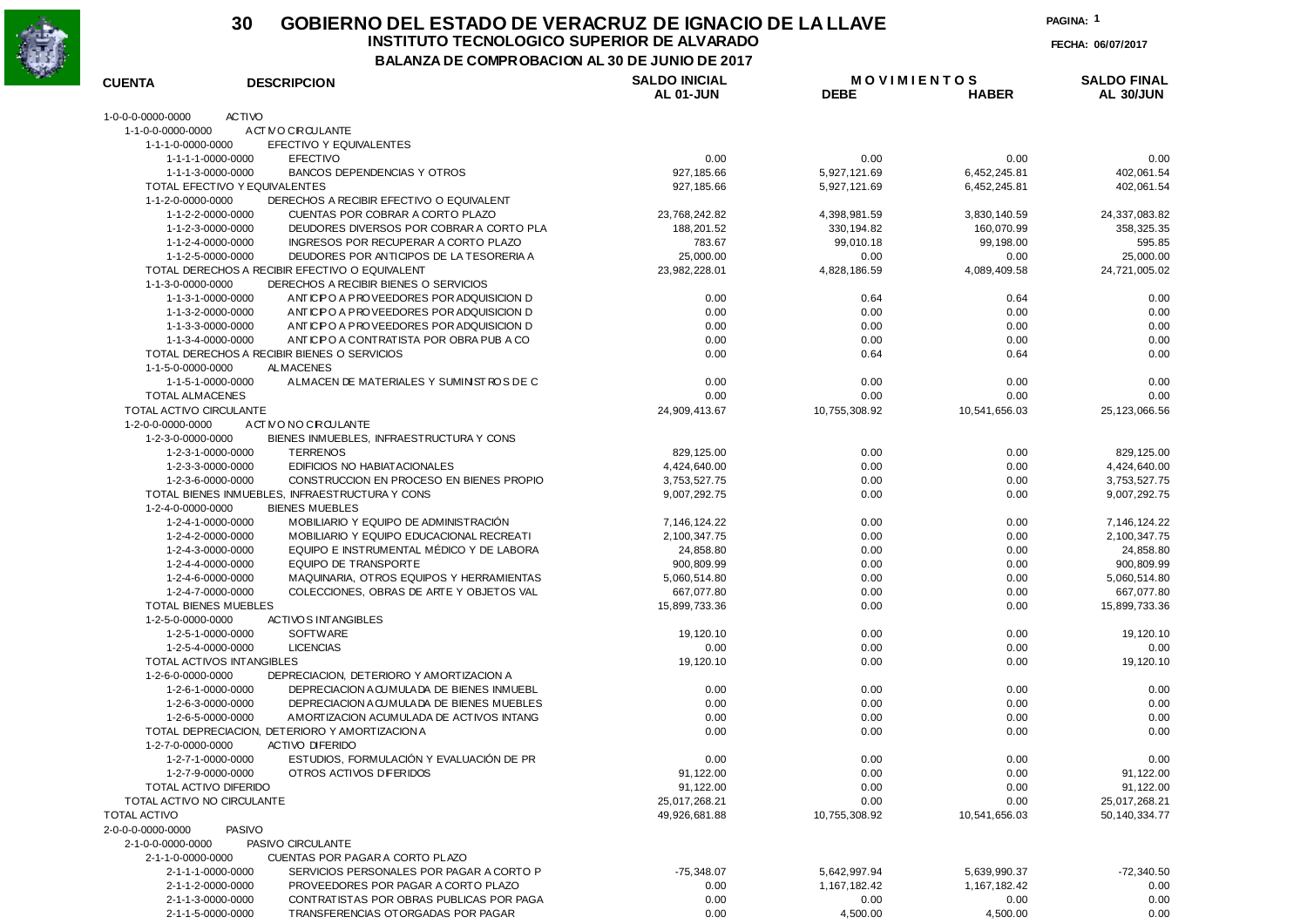

### **30 GOBIERNO DEL ESTADO DE VERACRUZ DE IGNACIO DE LA LLAVEINSTITUTO TECNOLOGICO SUPERIOR DE ALVARADO**

**FECHA: 06/07/2017**

**PAGINA:1**

**BALANZA DE COMPROBACION AL 30 DE JUNIO DE 2017**

| 1-0-0-0-0000-0000<br><b>ACTIVO</b><br>1-1-0-0-0000-0000<br>ACT NO CIRCULANTE<br>1-1-1-0-0000-0000<br>EFECTIVO Y EQUIVALENTES<br>1-1-1-1-0000-0000<br><b>EFECTIVO</b><br>0.00<br>0.00<br>0.00<br>0.00<br>1-1-1-3-0000-0000<br><b>BANCOS DEPENDENCIAS Y OTROS</b><br>927, 185.66<br>5,927,121.69<br>6,452,245.81<br>402,061.54<br>TOTAL EFECTIVO Y EQUIVALENTES<br>927, 185.66<br>5,927,121.69<br>6,452,245.81<br>402,061.54<br>DERECHOS A RECIBIR EFECTIVO O EQUIVALENT<br>1-1-2-0-0000-0000<br>1-1-2-2-0000-0000<br>CUENTAS POR COBRAR A CORTO PLAZO<br>23,768,242.82<br>3,830,140.59<br>24,337,083.82<br>4,398,981.59<br>1-1-2-3-0000-0000<br>DEUDORES DIVERSOS POR COBRAR A CORTO PLA<br>188,201.52<br>330, 194.82<br>160,070.99<br>358,325.35<br>1-1-2-4-0000-0000<br>INGRESOS POR RECUPERAR A CORTO PLAZO<br>783.67<br>99,010.18<br>99,198.00<br>1-1-2-5-0000-0000<br>DEUDORES POR ANTICIPOS DE LA TESORERIA A<br>25,000.00<br>0.00<br>0.00<br>25,000.00<br>TOTAL DERECHOS A RECIBIR EFECTIVO O EQUIVALENT<br>23,982,228.01<br>4,828,186.59<br>4,089,409.58<br>1-1-3-0-0000-0000<br>DERECHOS A RECIBIR BIENES O SERVICIOS<br>1-1-3-1-0000-0000<br>ANTICIPO A PROVEEDORES POR ADQUISICION D<br>0.00<br>0.64<br>0.64<br>1-1-3-2-0000-0000<br>ANTIC PO A PROVEEDORES POR ADQUISICION D<br>0.00<br>0.00<br>0.00<br>1-1-3-3-0000-0000<br>ANTICIPO A PROVEEDORES POR ADQUISICION D<br>0.00<br>0.00<br>0.00<br>1-1-3-4-0000-0000<br>ANTIC PO A CONTRATISTA POR OBRA PUB A CO<br>0.00<br>0.00<br>0.00<br>TOTAL DERECHOS A RECIBIR BIENES O SERVICIOS<br>0.00<br>0.64<br>0.64<br>1-1-5-0-0000-0000<br>ALMACENES<br>1-1-5-1-0000-0000<br>A LMACEN DE MATERIALES Y SUMINIST ROS DE C<br>0.00<br>0.00<br>0.00<br><b>TOTAL ALMACENES</b><br>0.00<br>0.00<br>0.00<br>TOTAL ACTIVO CIRCULANTE<br>24,909,413.67<br>10,755,308.92<br>10,541,656.03<br>1-2-0-0-0000-0000<br>ACT NO NO CROULANTE<br>1-2-3-0-0000-0000<br>BIENES INMUEBLES, INFRAESTRUCTURA Y CONS<br>1-2-3-1-0000-0000<br><b>TERRENOS</b><br>829,125.00<br>0.00<br>0.00<br>1-2-3-3-0000-0000<br>EDIFICIOS NO HABIATACIONALES<br>4,424,640.00<br>0.00<br>0.00<br>1-2-3-6-0000-0000<br>CONSTRUCCION EN PROCESO EN BIENES PROPIO<br>3,753,527.75<br>0.00<br>0.00<br>TOTAL BIENES INMUEBLES, INFRAESTRUCTURA Y CONS<br>9,007,292.75<br>0.00<br>0.00<br>1-2-4-0-0000-0000<br><b>BIENES MUEBLES</b><br>MOBILIARIO Y EQUIPO DE ADMINISTRACIÓN<br>1-2-4-1-0000-0000<br>0.00<br>0.00<br>7, 146, 124. 22<br>MOBILIARIO Y EQUIPO EDUCACIONAL RECREATI<br>1-2-4-2-0000-0000<br>2,100,347.75<br>0.00<br>0.00<br>EQUIPO E INSTRUMENTAL MÉDICO Y DE LABORA<br>1-2-4-3-0000-0000<br>24,858.80<br>0.00<br>0.00<br>1-2-4-4-0000-0000<br>EQUIPO DE TRANSPORTE<br>900,809.99<br>0.00<br>0.00<br>1-2-4-6-0000-0000<br>MAQUINARIA, OTROS EQUIPOS Y HERRAMIENTAS<br>5,060,514.80<br>0.00<br>0.00<br>1-2-4-7-0000-0000<br>COLECCIONES, OBRAS DE ARTE Y OBJETOS VAL<br>667,077.80<br>0.00<br>0.00<br><b>TOTAL BIENES MUEBLES</b><br>15,899,733.36<br>0.00<br>0.00<br>1-2-5-0-0000-0000<br><b>ACTIVOS INTANGIBLES</b><br>1-2-5-1-0000-0000<br><b>SOFTWARE</b><br>19,120.10<br>0.00<br>0.00<br><b>LICENCIAS</b><br>1-2-5-4-0000-0000<br>0.00<br>0.00<br>0.00<br>TOTAL ACTIVOS INTANGIBLES<br>19,120.10<br>0.00<br>0.00<br>1-2-6-0-0000-0000<br>DEPRECIACION. DETERIORO Y AMORTIZACION A<br>1-2-6-1-0000-0000<br>DEPRECIACION A CUMULA DA DE BIENES INMUEBL<br>0.00<br>0.00<br>0.00<br>1-2-6-3-0000-0000<br>DEPRECIACION A CUMULA DA DE BIENES MUEBLES<br>0.00<br>0.00<br>0.00<br>1-2-6-5-0000-0000<br>AMORTIZACION ACUMULADA DE ACTIVOS INTANG<br>0.00<br>0.00<br>0.00<br>TOTAL DEPRECIACION, DETERIORO Y AMORTIZACION A<br>0.00<br>0.00<br>0.00<br>1-2-7-0-0000-0000<br><b>ACTIVO DIFERIDO</b><br>ESTUDIOS, FORMULACIÓN Y EVALUACIÓN DE PR<br>1-2-7-1-0000-0000<br>0.00<br>0.00<br>0.00<br>1-2-7-9-0000-0000<br>OTROS ACTIVOS DIFERIDOS<br>91,122.00<br>0.00<br>0.00<br><b>TOTAL ACTIVO DIFERIDO</b><br>91,122.00<br>0.00<br>0.00<br>TOTAL ACTIVO NO CIRCULANTE<br>25,017,268.21<br>0.00<br>0.00<br><b>TOTAL ACTIVO</b><br>49,926,681.88<br>10,755,308.92<br>10,541,656.03<br>2-0-0-0-0000-0000<br><b>PASIVO</b><br>2-1-0-0-0000-0000<br>PASIVO CIRCULANTE<br>CUENTAS POR PAGAR A CORTO PLAZO<br>2-1-1-0-0000-0000<br>2-1-1-1-0000-0000<br>SERVICIOS PERSONALES POR PAGAR A CORTO P<br>$-75,348.07$<br>5,642,997.94<br>5,639,990.37<br>2-1-1-2-0000-0000<br>PROVEEDORES POR PAGAR A CORTO PLAZO<br>1, 167, 182.42<br>1, 167, 182.42<br>0.00<br>2-1-1-3-0000-0000<br>CONTRATISTAS POR OBRAS PUBLICAS POR PAGA<br>0.00<br>0.00<br>0.00<br>TRANSFERENCIAS OTORGADAS POR PAGAR<br>2-1-1-5-0000-0000<br>0.00<br>4,500.00<br>4,500.00 | <b>CUENTA</b> | <b>DESCRIPCION</b> | <b>SALDO INICIAL</b><br><b>AL 01-JUN</b> | <b>MOVIMIENTOS</b><br><b>DEBE</b> | <b>HABER</b> | <b>SALDO FINAL</b><br>AL 30/JUN |
|--------------------------------------------------------------------------------------------------------------------------------------------------------------------------------------------------------------------------------------------------------------------------------------------------------------------------------------------------------------------------------------------------------------------------------------------------------------------------------------------------------------------------------------------------------------------------------------------------------------------------------------------------------------------------------------------------------------------------------------------------------------------------------------------------------------------------------------------------------------------------------------------------------------------------------------------------------------------------------------------------------------------------------------------------------------------------------------------------------------------------------------------------------------------------------------------------------------------------------------------------------------------------------------------------------------------------------------------------------------------------------------------------------------------------------------------------------------------------------------------------------------------------------------------------------------------------------------------------------------------------------------------------------------------------------------------------------------------------------------------------------------------------------------------------------------------------------------------------------------------------------------------------------------------------------------------------------------------------------------------------------------------------------------------------------------------------------------------------------------------------------------------------------------------------------------------------------------------------------------------------------------------------------------------------------------------------------------------------------------------------------------------------------------------------------------------------------------------------------------------------------------------------------------------------------------------------------------------------------------------------------------------------------------------------------------------------------------------------------------------------------------------------------------------------------------------------------------------------------------------------------------------------------------------------------------------------------------------------------------------------------------------------------------------------------------------------------------------------------------------------------------------------------------------------------------------------------------------------------------------------------------------------------------------------------------------------------------------------------------------------------------------------------------------------------------------------------------------------------------------------------------------------------------------------------------------------------------------------------------------------------------------------------------------------------------------------------------------------------------------------------------------------------------------------------------------------------------------------------------------------------------------------------------------------------------------------------------------------------------------------------------------------------------------------------------------------------------------------------------------------------------------------------------------------------------------------------------------------------------------------------------------------------------------------------------------------------------------------------------------------------------------------------------------------------------------------------------------------------------------------------------------------------------------------------------------------------------------------------------------------------------------------------|---------------|--------------------|------------------------------------------|-----------------------------------|--------------|---------------------------------|
|                                                                                                                                                                                                                                                                                                                                                                                                                                                                                                                                                                                                                                                                                                                                                                                                                                                                                                                                                                                                                                                                                                                                                                                                                                                                                                                                                                                                                                                                                                                                                                                                                                                                                                                                                                                                                                                                                                                                                                                                                                                                                                                                                                                                                                                                                                                                                                                                                                                                                                                                                                                                                                                                                                                                                                                                                                                                                                                                                                                                                                                                                                                                                                                                                                                                                                                                                                                                                                                                                                                                                                                                                                                                                                                                                                                                                                                                                                                                                                                                                                                                                                                                                                                                                                                                                                                                                                                                                                                                                                                                                                                                                                                        |               |                    |                                          |                                   |              |                                 |
|                                                                                                                                                                                                                                                                                                                                                                                                                                                                                                                                                                                                                                                                                                                                                                                                                                                                                                                                                                                                                                                                                                                                                                                                                                                                                                                                                                                                                                                                                                                                                                                                                                                                                                                                                                                                                                                                                                                                                                                                                                                                                                                                                                                                                                                                                                                                                                                                                                                                                                                                                                                                                                                                                                                                                                                                                                                                                                                                                                                                                                                                                                                                                                                                                                                                                                                                                                                                                                                                                                                                                                                                                                                                                                                                                                                                                                                                                                                                                                                                                                                                                                                                                                                                                                                                                                                                                                                                                                                                                                                                                                                                                                                        |               |                    |                                          |                                   |              |                                 |
|                                                                                                                                                                                                                                                                                                                                                                                                                                                                                                                                                                                                                                                                                                                                                                                                                                                                                                                                                                                                                                                                                                                                                                                                                                                                                                                                                                                                                                                                                                                                                                                                                                                                                                                                                                                                                                                                                                                                                                                                                                                                                                                                                                                                                                                                                                                                                                                                                                                                                                                                                                                                                                                                                                                                                                                                                                                                                                                                                                                                                                                                                                                                                                                                                                                                                                                                                                                                                                                                                                                                                                                                                                                                                                                                                                                                                                                                                                                                                                                                                                                                                                                                                                                                                                                                                                                                                                                                                                                                                                                                                                                                                                                        |               |                    |                                          |                                   |              |                                 |
|                                                                                                                                                                                                                                                                                                                                                                                                                                                                                                                                                                                                                                                                                                                                                                                                                                                                                                                                                                                                                                                                                                                                                                                                                                                                                                                                                                                                                                                                                                                                                                                                                                                                                                                                                                                                                                                                                                                                                                                                                                                                                                                                                                                                                                                                                                                                                                                                                                                                                                                                                                                                                                                                                                                                                                                                                                                                                                                                                                                                                                                                                                                                                                                                                                                                                                                                                                                                                                                                                                                                                                                                                                                                                                                                                                                                                                                                                                                                                                                                                                                                                                                                                                                                                                                                                                                                                                                                                                                                                                                                                                                                                                                        |               |                    |                                          |                                   |              |                                 |
|                                                                                                                                                                                                                                                                                                                                                                                                                                                                                                                                                                                                                                                                                                                                                                                                                                                                                                                                                                                                                                                                                                                                                                                                                                                                                                                                                                                                                                                                                                                                                                                                                                                                                                                                                                                                                                                                                                                                                                                                                                                                                                                                                                                                                                                                                                                                                                                                                                                                                                                                                                                                                                                                                                                                                                                                                                                                                                                                                                                                                                                                                                                                                                                                                                                                                                                                                                                                                                                                                                                                                                                                                                                                                                                                                                                                                                                                                                                                                                                                                                                                                                                                                                                                                                                                                                                                                                                                                                                                                                                                                                                                                                                        |               |                    |                                          |                                   |              |                                 |
|                                                                                                                                                                                                                                                                                                                                                                                                                                                                                                                                                                                                                                                                                                                                                                                                                                                                                                                                                                                                                                                                                                                                                                                                                                                                                                                                                                                                                                                                                                                                                                                                                                                                                                                                                                                                                                                                                                                                                                                                                                                                                                                                                                                                                                                                                                                                                                                                                                                                                                                                                                                                                                                                                                                                                                                                                                                                                                                                                                                                                                                                                                                                                                                                                                                                                                                                                                                                                                                                                                                                                                                                                                                                                                                                                                                                                                                                                                                                                                                                                                                                                                                                                                                                                                                                                                                                                                                                                                                                                                                                                                                                                                                        |               |                    |                                          |                                   |              |                                 |
|                                                                                                                                                                                                                                                                                                                                                                                                                                                                                                                                                                                                                                                                                                                                                                                                                                                                                                                                                                                                                                                                                                                                                                                                                                                                                                                                                                                                                                                                                                                                                                                                                                                                                                                                                                                                                                                                                                                                                                                                                                                                                                                                                                                                                                                                                                                                                                                                                                                                                                                                                                                                                                                                                                                                                                                                                                                                                                                                                                                                                                                                                                                                                                                                                                                                                                                                                                                                                                                                                                                                                                                                                                                                                                                                                                                                                                                                                                                                                                                                                                                                                                                                                                                                                                                                                                                                                                                                                                                                                                                                                                                                                                                        |               |                    |                                          |                                   |              |                                 |
|                                                                                                                                                                                                                                                                                                                                                                                                                                                                                                                                                                                                                                                                                                                                                                                                                                                                                                                                                                                                                                                                                                                                                                                                                                                                                                                                                                                                                                                                                                                                                                                                                                                                                                                                                                                                                                                                                                                                                                                                                                                                                                                                                                                                                                                                                                                                                                                                                                                                                                                                                                                                                                                                                                                                                                                                                                                                                                                                                                                                                                                                                                                                                                                                                                                                                                                                                                                                                                                                                                                                                                                                                                                                                                                                                                                                                                                                                                                                                                                                                                                                                                                                                                                                                                                                                                                                                                                                                                                                                                                                                                                                                                                        |               |                    |                                          |                                   |              |                                 |
|                                                                                                                                                                                                                                                                                                                                                                                                                                                                                                                                                                                                                                                                                                                                                                                                                                                                                                                                                                                                                                                                                                                                                                                                                                                                                                                                                                                                                                                                                                                                                                                                                                                                                                                                                                                                                                                                                                                                                                                                                                                                                                                                                                                                                                                                                                                                                                                                                                                                                                                                                                                                                                                                                                                                                                                                                                                                                                                                                                                                                                                                                                                                                                                                                                                                                                                                                                                                                                                                                                                                                                                                                                                                                                                                                                                                                                                                                                                                                                                                                                                                                                                                                                                                                                                                                                                                                                                                                                                                                                                                                                                                                                                        |               |                    |                                          |                                   |              |                                 |
|                                                                                                                                                                                                                                                                                                                                                                                                                                                                                                                                                                                                                                                                                                                                                                                                                                                                                                                                                                                                                                                                                                                                                                                                                                                                                                                                                                                                                                                                                                                                                                                                                                                                                                                                                                                                                                                                                                                                                                                                                                                                                                                                                                                                                                                                                                                                                                                                                                                                                                                                                                                                                                                                                                                                                                                                                                                                                                                                                                                                                                                                                                                                                                                                                                                                                                                                                                                                                                                                                                                                                                                                                                                                                                                                                                                                                                                                                                                                                                                                                                                                                                                                                                                                                                                                                                                                                                                                                                                                                                                                                                                                                                                        |               |                    |                                          |                                   |              | 595.85                          |
|                                                                                                                                                                                                                                                                                                                                                                                                                                                                                                                                                                                                                                                                                                                                                                                                                                                                                                                                                                                                                                                                                                                                                                                                                                                                                                                                                                                                                                                                                                                                                                                                                                                                                                                                                                                                                                                                                                                                                                                                                                                                                                                                                                                                                                                                                                                                                                                                                                                                                                                                                                                                                                                                                                                                                                                                                                                                                                                                                                                                                                                                                                                                                                                                                                                                                                                                                                                                                                                                                                                                                                                                                                                                                                                                                                                                                                                                                                                                                                                                                                                                                                                                                                                                                                                                                                                                                                                                                                                                                                                                                                                                                                                        |               |                    |                                          |                                   |              |                                 |
|                                                                                                                                                                                                                                                                                                                                                                                                                                                                                                                                                                                                                                                                                                                                                                                                                                                                                                                                                                                                                                                                                                                                                                                                                                                                                                                                                                                                                                                                                                                                                                                                                                                                                                                                                                                                                                                                                                                                                                                                                                                                                                                                                                                                                                                                                                                                                                                                                                                                                                                                                                                                                                                                                                                                                                                                                                                                                                                                                                                                                                                                                                                                                                                                                                                                                                                                                                                                                                                                                                                                                                                                                                                                                                                                                                                                                                                                                                                                                                                                                                                                                                                                                                                                                                                                                                                                                                                                                                                                                                                                                                                                                                                        |               |                    |                                          |                                   |              | 24,721,005.02                   |
|                                                                                                                                                                                                                                                                                                                                                                                                                                                                                                                                                                                                                                                                                                                                                                                                                                                                                                                                                                                                                                                                                                                                                                                                                                                                                                                                                                                                                                                                                                                                                                                                                                                                                                                                                                                                                                                                                                                                                                                                                                                                                                                                                                                                                                                                                                                                                                                                                                                                                                                                                                                                                                                                                                                                                                                                                                                                                                                                                                                                                                                                                                                                                                                                                                                                                                                                                                                                                                                                                                                                                                                                                                                                                                                                                                                                                                                                                                                                                                                                                                                                                                                                                                                                                                                                                                                                                                                                                                                                                                                                                                                                                                                        |               |                    |                                          |                                   |              |                                 |
|                                                                                                                                                                                                                                                                                                                                                                                                                                                                                                                                                                                                                                                                                                                                                                                                                                                                                                                                                                                                                                                                                                                                                                                                                                                                                                                                                                                                                                                                                                                                                                                                                                                                                                                                                                                                                                                                                                                                                                                                                                                                                                                                                                                                                                                                                                                                                                                                                                                                                                                                                                                                                                                                                                                                                                                                                                                                                                                                                                                                                                                                                                                                                                                                                                                                                                                                                                                                                                                                                                                                                                                                                                                                                                                                                                                                                                                                                                                                                                                                                                                                                                                                                                                                                                                                                                                                                                                                                                                                                                                                                                                                                                                        |               |                    |                                          |                                   |              | 0.00                            |
|                                                                                                                                                                                                                                                                                                                                                                                                                                                                                                                                                                                                                                                                                                                                                                                                                                                                                                                                                                                                                                                                                                                                                                                                                                                                                                                                                                                                                                                                                                                                                                                                                                                                                                                                                                                                                                                                                                                                                                                                                                                                                                                                                                                                                                                                                                                                                                                                                                                                                                                                                                                                                                                                                                                                                                                                                                                                                                                                                                                                                                                                                                                                                                                                                                                                                                                                                                                                                                                                                                                                                                                                                                                                                                                                                                                                                                                                                                                                                                                                                                                                                                                                                                                                                                                                                                                                                                                                                                                                                                                                                                                                                                                        |               |                    |                                          |                                   |              | 0.00                            |
|                                                                                                                                                                                                                                                                                                                                                                                                                                                                                                                                                                                                                                                                                                                                                                                                                                                                                                                                                                                                                                                                                                                                                                                                                                                                                                                                                                                                                                                                                                                                                                                                                                                                                                                                                                                                                                                                                                                                                                                                                                                                                                                                                                                                                                                                                                                                                                                                                                                                                                                                                                                                                                                                                                                                                                                                                                                                                                                                                                                                                                                                                                                                                                                                                                                                                                                                                                                                                                                                                                                                                                                                                                                                                                                                                                                                                                                                                                                                                                                                                                                                                                                                                                                                                                                                                                                                                                                                                                                                                                                                                                                                                                                        |               |                    |                                          |                                   |              | 0.00                            |
|                                                                                                                                                                                                                                                                                                                                                                                                                                                                                                                                                                                                                                                                                                                                                                                                                                                                                                                                                                                                                                                                                                                                                                                                                                                                                                                                                                                                                                                                                                                                                                                                                                                                                                                                                                                                                                                                                                                                                                                                                                                                                                                                                                                                                                                                                                                                                                                                                                                                                                                                                                                                                                                                                                                                                                                                                                                                                                                                                                                                                                                                                                                                                                                                                                                                                                                                                                                                                                                                                                                                                                                                                                                                                                                                                                                                                                                                                                                                                                                                                                                                                                                                                                                                                                                                                                                                                                                                                                                                                                                                                                                                                                                        |               |                    |                                          |                                   |              | 0.00                            |
|                                                                                                                                                                                                                                                                                                                                                                                                                                                                                                                                                                                                                                                                                                                                                                                                                                                                                                                                                                                                                                                                                                                                                                                                                                                                                                                                                                                                                                                                                                                                                                                                                                                                                                                                                                                                                                                                                                                                                                                                                                                                                                                                                                                                                                                                                                                                                                                                                                                                                                                                                                                                                                                                                                                                                                                                                                                                                                                                                                                                                                                                                                                                                                                                                                                                                                                                                                                                                                                                                                                                                                                                                                                                                                                                                                                                                                                                                                                                                                                                                                                                                                                                                                                                                                                                                                                                                                                                                                                                                                                                                                                                                                                        |               |                    |                                          |                                   |              | 0.00                            |
|                                                                                                                                                                                                                                                                                                                                                                                                                                                                                                                                                                                                                                                                                                                                                                                                                                                                                                                                                                                                                                                                                                                                                                                                                                                                                                                                                                                                                                                                                                                                                                                                                                                                                                                                                                                                                                                                                                                                                                                                                                                                                                                                                                                                                                                                                                                                                                                                                                                                                                                                                                                                                                                                                                                                                                                                                                                                                                                                                                                                                                                                                                                                                                                                                                                                                                                                                                                                                                                                                                                                                                                                                                                                                                                                                                                                                                                                                                                                                                                                                                                                                                                                                                                                                                                                                                                                                                                                                                                                                                                                                                                                                                                        |               |                    |                                          |                                   |              |                                 |
|                                                                                                                                                                                                                                                                                                                                                                                                                                                                                                                                                                                                                                                                                                                                                                                                                                                                                                                                                                                                                                                                                                                                                                                                                                                                                                                                                                                                                                                                                                                                                                                                                                                                                                                                                                                                                                                                                                                                                                                                                                                                                                                                                                                                                                                                                                                                                                                                                                                                                                                                                                                                                                                                                                                                                                                                                                                                                                                                                                                                                                                                                                                                                                                                                                                                                                                                                                                                                                                                                                                                                                                                                                                                                                                                                                                                                                                                                                                                                                                                                                                                                                                                                                                                                                                                                                                                                                                                                                                                                                                                                                                                                                                        |               |                    |                                          |                                   |              | 0.00                            |
|                                                                                                                                                                                                                                                                                                                                                                                                                                                                                                                                                                                                                                                                                                                                                                                                                                                                                                                                                                                                                                                                                                                                                                                                                                                                                                                                                                                                                                                                                                                                                                                                                                                                                                                                                                                                                                                                                                                                                                                                                                                                                                                                                                                                                                                                                                                                                                                                                                                                                                                                                                                                                                                                                                                                                                                                                                                                                                                                                                                                                                                                                                                                                                                                                                                                                                                                                                                                                                                                                                                                                                                                                                                                                                                                                                                                                                                                                                                                                                                                                                                                                                                                                                                                                                                                                                                                                                                                                                                                                                                                                                                                                                                        |               |                    |                                          |                                   |              | 0.00                            |
|                                                                                                                                                                                                                                                                                                                                                                                                                                                                                                                                                                                                                                                                                                                                                                                                                                                                                                                                                                                                                                                                                                                                                                                                                                                                                                                                                                                                                                                                                                                                                                                                                                                                                                                                                                                                                                                                                                                                                                                                                                                                                                                                                                                                                                                                                                                                                                                                                                                                                                                                                                                                                                                                                                                                                                                                                                                                                                                                                                                                                                                                                                                                                                                                                                                                                                                                                                                                                                                                                                                                                                                                                                                                                                                                                                                                                                                                                                                                                                                                                                                                                                                                                                                                                                                                                                                                                                                                                                                                                                                                                                                                                                                        |               |                    |                                          |                                   |              | 25,123,066.56                   |
|                                                                                                                                                                                                                                                                                                                                                                                                                                                                                                                                                                                                                                                                                                                                                                                                                                                                                                                                                                                                                                                                                                                                                                                                                                                                                                                                                                                                                                                                                                                                                                                                                                                                                                                                                                                                                                                                                                                                                                                                                                                                                                                                                                                                                                                                                                                                                                                                                                                                                                                                                                                                                                                                                                                                                                                                                                                                                                                                                                                                                                                                                                                                                                                                                                                                                                                                                                                                                                                                                                                                                                                                                                                                                                                                                                                                                                                                                                                                                                                                                                                                                                                                                                                                                                                                                                                                                                                                                                                                                                                                                                                                                                                        |               |                    |                                          |                                   |              |                                 |
|                                                                                                                                                                                                                                                                                                                                                                                                                                                                                                                                                                                                                                                                                                                                                                                                                                                                                                                                                                                                                                                                                                                                                                                                                                                                                                                                                                                                                                                                                                                                                                                                                                                                                                                                                                                                                                                                                                                                                                                                                                                                                                                                                                                                                                                                                                                                                                                                                                                                                                                                                                                                                                                                                                                                                                                                                                                                                                                                                                                                                                                                                                                                                                                                                                                                                                                                                                                                                                                                                                                                                                                                                                                                                                                                                                                                                                                                                                                                                                                                                                                                                                                                                                                                                                                                                                                                                                                                                                                                                                                                                                                                                                                        |               |                    |                                          |                                   |              |                                 |
|                                                                                                                                                                                                                                                                                                                                                                                                                                                                                                                                                                                                                                                                                                                                                                                                                                                                                                                                                                                                                                                                                                                                                                                                                                                                                                                                                                                                                                                                                                                                                                                                                                                                                                                                                                                                                                                                                                                                                                                                                                                                                                                                                                                                                                                                                                                                                                                                                                                                                                                                                                                                                                                                                                                                                                                                                                                                                                                                                                                                                                                                                                                                                                                                                                                                                                                                                                                                                                                                                                                                                                                                                                                                                                                                                                                                                                                                                                                                                                                                                                                                                                                                                                                                                                                                                                                                                                                                                                                                                                                                                                                                                                                        |               |                    |                                          |                                   |              | 829,125.00                      |
|                                                                                                                                                                                                                                                                                                                                                                                                                                                                                                                                                                                                                                                                                                                                                                                                                                                                                                                                                                                                                                                                                                                                                                                                                                                                                                                                                                                                                                                                                                                                                                                                                                                                                                                                                                                                                                                                                                                                                                                                                                                                                                                                                                                                                                                                                                                                                                                                                                                                                                                                                                                                                                                                                                                                                                                                                                                                                                                                                                                                                                                                                                                                                                                                                                                                                                                                                                                                                                                                                                                                                                                                                                                                                                                                                                                                                                                                                                                                                                                                                                                                                                                                                                                                                                                                                                                                                                                                                                                                                                                                                                                                                                                        |               |                    |                                          |                                   |              | 4,424,640.00                    |
|                                                                                                                                                                                                                                                                                                                                                                                                                                                                                                                                                                                                                                                                                                                                                                                                                                                                                                                                                                                                                                                                                                                                                                                                                                                                                                                                                                                                                                                                                                                                                                                                                                                                                                                                                                                                                                                                                                                                                                                                                                                                                                                                                                                                                                                                                                                                                                                                                                                                                                                                                                                                                                                                                                                                                                                                                                                                                                                                                                                                                                                                                                                                                                                                                                                                                                                                                                                                                                                                                                                                                                                                                                                                                                                                                                                                                                                                                                                                                                                                                                                                                                                                                                                                                                                                                                                                                                                                                                                                                                                                                                                                                                                        |               |                    |                                          |                                   |              | 3,753,527.75                    |
|                                                                                                                                                                                                                                                                                                                                                                                                                                                                                                                                                                                                                                                                                                                                                                                                                                                                                                                                                                                                                                                                                                                                                                                                                                                                                                                                                                                                                                                                                                                                                                                                                                                                                                                                                                                                                                                                                                                                                                                                                                                                                                                                                                                                                                                                                                                                                                                                                                                                                                                                                                                                                                                                                                                                                                                                                                                                                                                                                                                                                                                                                                                                                                                                                                                                                                                                                                                                                                                                                                                                                                                                                                                                                                                                                                                                                                                                                                                                                                                                                                                                                                                                                                                                                                                                                                                                                                                                                                                                                                                                                                                                                                                        |               |                    |                                          |                                   |              | 9,007,292.75                    |
|                                                                                                                                                                                                                                                                                                                                                                                                                                                                                                                                                                                                                                                                                                                                                                                                                                                                                                                                                                                                                                                                                                                                                                                                                                                                                                                                                                                                                                                                                                                                                                                                                                                                                                                                                                                                                                                                                                                                                                                                                                                                                                                                                                                                                                                                                                                                                                                                                                                                                                                                                                                                                                                                                                                                                                                                                                                                                                                                                                                                                                                                                                                                                                                                                                                                                                                                                                                                                                                                                                                                                                                                                                                                                                                                                                                                                                                                                                                                                                                                                                                                                                                                                                                                                                                                                                                                                                                                                                                                                                                                                                                                                                                        |               |                    |                                          |                                   |              |                                 |
|                                                                                                                                                                                                                                                                                                                                                                                                                                                                                                                                                                                                                                                                                                                                                                                                                                                                                                                                                                                                                                                                                                                                                                                                                                                                                                                                                                                                                                                                                                                                                                                                                                                                                                                                                                                                                                                                                                                                                                                                                                                                                                                                                                                                                                                                                                                                                                                                                                                                                                                                                                                                                                                                                                                                                                                                                                                                                                                                                                                                                                                                                                                                                                                                                                                                                                                                                                                                                                                                                                                                                                                                                                                                                                                                                                                                                                                                                                                                                                                                                                                                                                                                                                                                                                                                                                                                                                                                                                                                                                                                                                                                                                                        |               |                    |                                          |                                   |              | 7,146,124.22                    |
|                                                                                                                                                                                                                                                                                                                                                                                                                                                                                                                                                                                                                                                                                                                                                                                                                                                                                                                                                                                                                                                                                                                                                                                                                                                                                                                                                                                                                                                                                                                                                                                                                                                                                                                                                                                                                                                                                                                                                                                                                                                                                                                                                                                                                                                                                                                                                                                                                                                                                                                                                                                                                                                                                                                                                                                                                                                                                                                                                                                                                                                                                                                                                                                                                                                                                                                                                                                                                                                                                                                                                                                                                                                                                                                                                                                                                                                                                                                                                                                                                                                                                                                                                                                                                                                                                                                                                                                                                                                                                                                                                                                                                                                        |               |                    |                                          |                                   |              | 2,100,347.75                    |
|                                                                                                                                                                                                                                                                                                                                                                                                                                                                                                                                                                                                                                                                                                                                                                                                                                                                                                                                                                                                                                                                                                                                                                                                                                                                                                                                                                                                                                                                                                                                                                                                                                                                                                                                                                                                                                                                                                                                                                                                                                                                                                                                                                                                                                                                                                                                                                                                                                                                                                                                                                                                                                                                                                                                                                                                                                                                                                                                                                                                                                                                                                                                                                                                                                                                                                                                                                                                                                                                                                                                                                                                                                                                                                                                                                                                                                                                                                                                                                                                                                                                                                                                                                                                                                                                                                                                                                                                                                                                                                                                                                                                                                                        |               |                    |                                          |                                   |              | 24,858.80                       |
|                                                                                                                                                                                                                                                                                                                                                                                                                                                                                                                                                                                                                                                                                                                                                                                                                                                                                                                                                                                                                                                                                                                                                                                                                                                                                                                                                                                                                                                                                                                                                                                                                                                                                                                                                                                                                                                                                                                                                                                                                                                                                                                                                                                                                                                                                                                                                                                                                                                                                                                                                                                                                                                                                                                                                                                                                                                                                                                                                                                                                                                                                                                                                                                                                                                                                                                                                                                                                                                                                                                                                                                                                                                                                                                                                                                                                                                                                                                                                                                                                                                                                                                                                                                                                                                                                                                                                                                                                                                                                                                                                                                                                                                        |               |                    |                                          |                                   |              | 900,809.99                      |
|                                                                                                                                                                                                                                                                                                                                                                                                                                                                                                                                                                                                                                                                                                                                                                                                                                                                                                                                                                                                                                                                                                                                                                                                                                                                                                                                                                                                                                                                                                                                                                                                                                                                                                                                                                                                                                                                                                                                                                                                                                                                                                                                                                                                                                                                                                                                                                                                                                                                                                                                                                                                                                                                                                                                                                                                                                                                                                                                                                                                                                                                                                                                                                                                                                                                                                                                                                                                                                                                                                                                                                                                                                                                                                                                                                                                                                                                                                                                                                                                                                                                                                                                                                                                                                                                                                                                                                                                                                                                                                                                                                                                                                                        |               |                    |                                          |                                   |              | 5,060,514.80                    |
|                                                                                                                                                                                                                                                                                                                                                                                                                                                                                                                                                                                                                                                                                                                                                                                                                                                                                                                                                                                                                                                                                                                                                                                                                                                                                                                                                                                                                                                                                                                                                                                                                                                                                                                                                                                                                                                                                                                                                                                                                                                                                                                                                                                                                                                                                                                                                                                                                                                                                                                                                                                                                                                                                                                                                                                                                                                                                                                                                                                                                                                                                                                                                                                                                                                                                                                                                                                                                                                                                                                                                                                                                                                                                                                                                                                                                                                                                                                                                                                                                                                                                                                                                                                                                                                                                                                                                                                                                                                                                                                                                                                                                                                        |               |                    |                                          |                                   |              | 667,077.80                      |
|                                                                                                                                                                                                                                                                                                                                                                                                                                                                                                                                                                                                                                                                                                                                                                                                                                                                                                                                                                                                                                                                                                                                                                                                                                                                                                                                                                                                                                                                                                                                                                                                                                                                                                                                                                                                                                                                                                                                                                                                                                                                                                                                                                                                                                                                                                                                                                                                                                                                                                                                                                                                                                                                                                                                                                                                                                                                                                                                                                                                                                                                                                                                                                                                                                                                                                                                                                                                                                                                                                                                                                                                                                                                                                                                                                                                                                                                                                                                                                                                                                                                                                                                                                                                                                                                                                                                                                                                                                                                                                                                                                                                                                                        |               |                    |                                          |                                   |              | 15,899,733.36                   |
|                                                                                                                                                                                                                                                                                                                                                                                                                                                                                                                                                                                                                                                                                                                                                                                                                                                                                                                                                                                                                                                                                                                                                                                                                                                                                                                                                                                                                                                                                                                                                                                                                                                                                                                                                                                                                                                                                                                                                                                                                                                                                                                                                                                                                                                                                                                                                                                                                                                                                                                                                                                                                                                                                                                                                                                                                                                                                                                                                                                                                                                                                                                                                                                                                                                                                                                                                                                                                                                                                                                                                                                                                                                                                                                                                                                                                                                                                                                                                                                                                                                                                                                                                                                                                                                                                                                                                                                                                                                                                                                                                                                                                                                        |               |                    |                                          |                                   |              |                                 |
|                                                                                                                                                                                                                                                                                                                                                                                                                                                                                                                                                                                                                                                                                                                                                                                                                                                                                                                                                                                                                                                                                                                                                                                                                                                                                                                                                                                                                                                                                                                                                                                                                                                                                                                                                                                                                                                                                                                                                                                                                                                                                                                                                                                                                                                                                                                                                                                                                                                                                                                                                                                                                                                                                                                                                                                                                                                                                                                                                                                                                                                                                                                                                                                                                                                                                                                                                                                                                                                                                                                                                                                                                                                                                                                                                                                                                                                                                                                                                                                                                                                                                                                                                                                                                                                                                                                                                                                                                                                                                                                                                                                                                                                        |               |                    |                                          |                                   |              | 19,120.10                       |
|                                                                                                                                                                                                                                                                                                                                                                                                                                                                                                                                                                                                                                                                                                                                                                                                                                                                                                                                                                                                                                                                                                                                                                                                                                                                                                                                                                                                                                                                                                                                                                                                                                                                                                                                                                                                                                                                                                                                                                                                                                                                                                                                                                                                                                                                                                                                                                                                                                                                                                                                                                                                                                                                                                                                                                                                                                                                                                                                                                                                                                                                                                                                                                                                                                                                                                                                                                                                                                                                                                                                                                                                                                                                                                                                                                                                                                                                                                                                                                                                                                                                                                                                                                                                                                                                                                                                                                                                                                                                                                                                                                                                                                                        |               |                    |                                          |                                   |              | 0.00                            |
|                                                                                                                                                                                                                                                                                                                                                                                                                                                                                                                                                                                                                                                                                                                                                                                                                                                                                                                                                                                                                                                                                                                                                                                                                                                                                                                                                                                                                                                                                                                                                                                                                                                                                                                                                                                                                                                                                                                                                                                                                                                                                                                                                                                                                                                                                                                                                                                                                                                                                                                                                                                                                                                                                                                                                                                                                                                                                                                                                                                                                                                                                                                                                                                                                                                                                                                                                                                                                                                                                                                                                                                                                                                                                                                                                                                                                                                                                                                                                                                                                                                                                                                                                                                                                                                                                                                                                                                                                                                                                                                                                                                                                                                        |               |                    |                                          |                                   |              | 19,120.10                       |
|                                                                                                                                                                                                                                                                                                                                                                                                                                                                                                                                                                                                                                                                                                                                                                                                                                                                                                                                                                                                                                                                                                                                                                                                                                                                                                                                                                                                                                                                                                                                                                                                                                                                                                                                                                                                                                                                                                                                                                                                                                                                                                                                                                                                                                                                                                                                                                                                                                                                                                                                                                                                                                                                                                                                                                                                                                                                                                                                                                                                                                                                                                                                                                                                                                                                                                                                                                                                                                                                                                                                                                                                                                                                                                                                                                                                                                                                                                                                                                                                                                                                                                                                                                                                                                                                                                                                                                                                                                                                                                                                                                                                                                                        |               |                    |                                          |                                   |              |                                 |
|                                                                                                                                                                                                                                                                                                                                                                                                                                                                                                                                                                                                                                                                                                                                                                                                                                                                                                                                                                                                                                                                                                                                                                                                                                                                                                                                                                                                                                                                                                                                                                                                                                                                                                                                                                                                                                                                                                                                                                                                                                                                                                                                                                                                                                                                                                                                                                                                                                                                                                                                                                                                                                                                                                                                                                                                                                                                                                                                                                                                                                                                                                                                                                                                                                                                                                                                                                                                                                                                                                                                                                                                                                                                                                                                                                                                                                                                                                                                                                                                                                                                                                                                                                                                                                                                                                                                                                                                                                                                                                                                                                                                                                                        |               |                    |                                          |                                   |              | 0.00                            |
|                                                                                                                                                                                                                                                                                                                                                                                                                                                                                                                                                                                                                                                                                                                                                                                                                                                                                                                                                                                                                                                                                                                                                                                                                                                                                                                                                                                                                                                                                                                                                                                                                                                                                                                                                                                                                                                                                                                                                                                                                                                                                                                                                                                                                                                                                                                                                                                                                                                                                                                                                                                                                                                                                                                                                                                                                                                                                                                                                                                                                                                                                                                                                                                                                                                                                                                                                                                                                                                                                                                                                                                                                                                                                                                                                                                                                                                                                                                                                                                                                                                                                                                                                                                                                                                                                                                                                                                                                                                                                                                                                                                                                                                        |               |                    |                                          |                                   |              | 0.00                            |
|                                                                                                                                                                                                                                                                                                                                                                                                                                                                                                                                                                                                                                                                                                                                                                                                                                                                                                                                                                                                                                                                                                                                                                                                                                                                                                                                                                                                                                                                                                                                                                                                                                                                                                                                                                                                                                                                                                                                                                                                                                                                                                                                                                                                                                                                                                                                                                                                                                                                                                                                                                                                                                                                                                                                                                                                                                                                                                                                                                                                                                                                                                                                                                                                                                                                                                                                                                                                                                                                                                                                                                                                                                                                                                                                                                                                                                                                                                                                                                                                                                                                                                                                                                                                                                                                                                                                                                                                                                                                                                                                                                                                                                                        |               |                    |                                          |                                   |              | 0.00                            |
|                                                                                                                                                                                                                                                                                                                                                                                                                                                                                                                                                                                                                                                                                                                                                                                                                                                                                                                                                                                                                                                                                                                                                                                                                                                                                                                                                                                                                                                                                                                                                                                                                                                                                                                                                                                                                                                                                                                                                                                                                                                                                                                                                                                                                                                                                                                                                                                                                                                                                                                                                                                                                                                                                                                                                                                                                                                                                                                                                                                                                                                                                                                                                                                                                                                                                                                                                                                                                                                                                                                                                                                                                                                                                                                                                                                                                                                                                                                                                                                                                                                                                                                                                                                                                                                                                                                                                                                                                                                                                                                                                                                                                                                        |               |                    |                                          |                                   |              | 0.00                            |
|                                                                                                                                                                                                                                                                                                                                                                                                                                                                                                                                                                                                                                                                                                                                                                                                                                                                                                                                                                                                                                                                                                                                                                                                                                                                                                                                                                                                                                                                                                                                                                                                                                                                                                                                                                                                                                                                                                                                                                                                                                                                                                                                                                                                                                                                                                                                                                                                                                                                                                                                                                                                                                                                                                                                                                                                                                                                                                                                                                                                                                                                                                                                                                                                                                                                                                                                                                                                                                                                                                                                                                                                                                                                                                                                                                                                                                                                                                                                                                                                                                                                                                                                                                                                                                                                                                                                                                                                                                                                                                                                                                                                                                                        |               |                    |                                          |                                   |              |                                 |
|                                                                                                                                                                                                                                                                                                                                                                                                                                                                                                                                                                                                                                                                                                                                                                                                                                                                                                                                                                                                                                                                                                                                                                                                                                                                                                                                                                                                                                                                                                                                                                                                                                                                                                                                                                                                                                                                                                                                                                                                                                                                                                                                                                                                                                                                                                                                                                                                                                                                                                                                                                                                                                                                                                                                                                                                                                                                                                                                                                                                                                                                                                                                                                                                                                                                                                                                                                                                                                                                                                                                                                                                                                                                                                                                                                                                                                                                                                                                                                                                                                                                                                                                                                                                                                                                                                                                                                                                                                                                                                                                                                                                                                                        |               |                    |                                          |                                   |              | 0.00                            |
|                                                                                                                                                                                                                                                                                                                                                                                                                                                                                                                                                                                                                                                                                                                                                                                                                                                                                                                                                                                                                                                                                                                                                                                                                                                                                                                                                                                                                                                                                                                                                                                                                                                                                                                                                                                                                                                                                                                                                                                                                                                                                                                                                                                                                                                                                                                                                                                                                                                                                                                                                                                                                                                                                                                                                                                                                                                                                                                                                                                                                                                                                                                                                                                                                                                                                                                                                                                                                                                                                                                                                                                                                                                                                                                                                                                                                                                                                                                                                                                                                                                                                                                                                                                                                                                                                                                                                                                                                                                                                                                                                                                                                                                        |               |                    |                                          |                                   |              | 91,122.00                       |
|                                                                                                                                                                                                                                                                                                                                                                                                                                                                                                                                                                                                                                                                                                                                                                                                                                                                                                                                                                                                                                                                                                                                                                                                                                                                                                                                                                                                                                                                                                                                                                                                                                                                                                                                                                                                                                                                                                                                                                                                                                                                                                                                                                                                                                                                                                                                                                                                                                                                                                                                                                                                                                                                                                                                                                                                                                                                                                                                                                                                                                                                                                                                                                                                                                                                                                                                                                                                                                                                                                                                                                                                                                                                                                                                                                                                                                                                                                                                                                                                                                                                                                                                                                                                                                                                                                                                                                                                                                                                                                                                                                                                                                                        |               |                    |                                          |                                   |              | 91,122.00                       |
|                                                                                                                                                                                                                                                                                                                                                                                                                                                                                                                                                                                                                                                                                                                                                                                                                                                                                                                                                                                                                                                                                                                                                                                                                                                                                                                                                                                                                                                                                                                                                                                                                                                                                                                                                                                                                                                                                                                                                                                                                                                                                                                                                                                                                                                                                                                                                                                                                                                                                                                                                                                                                                                                                                                                                                                                                                                                                                                                                                                                                                                                                                                                                                                                                                                                                                                                                                                                                                                                                                                                                                                                                                                                                                                                                                                                                                                                                                                                                                                                                                                                                                                                                                                                                                                                                                                                                                                                                                                                                                                                                                                                                                                        |               |                    |                                          |                                   |              | 25,017,268.21                   |
|                                                                                                                                                                                                                                                                                                                                                                                                                                                                                                                                                                                                                                                                                                                                                                                                                                                                                                                                                                                                                                                                                                                                                                                                                                                                                                                                                                                                                                                                                                                                                                                                                                                                                                                                                                                                                                                                                                                                                                                                                                                                                                                                                                                                                                                                                                                                                                                                                                                                                                                                                                                                                                                                                                                                                                                                                                                                                                                                                                                                                                                                                                                                                                                                                                                                                                                                                                                                                                                                                                                                                                                                                                                                                                                                                                                                                                                                                                                                                                                                                                                                                                                                                                                                                                                                                                                                                                                                                                                                                                                                                                                                                                                        |               |                    |                                          |                                   |              | 50,140,334.77                   |
|                                                                                                                                                                                                                                                                                                                                                                                                                                                                                                                                                                                                                                                                                                                                                                                                                                                                                                                                                                                                                                                                                                                                                                                                                                                                                                                                                                                                                                                                                                                                                                                                                                                                                                                                                                                                                                                                                                                                                                                                                                                                                                                                                                                                                                                                                                                                                                                                                                                                                                                                                                                                                                                                                                                                                                                                                                                                                                                                                                                                                                                                                                                                                                                                                                                                                                                                                                                                                                                                                                                                                                                                                                                                                                                                                                                                                                                                                                                                                                                                                                                                                                                                                                                                                                                                                                                                                                                                                                                                                                                                                                                                                                                        |               |                    |                                          |                                   |              |                                 |
|                                                                                                                                                                                                                                                                                                                                                                                                                                                                                                                                                                                                                                                                                                                                                                                                                                                                                                                                                                                                                                                                                                                                                                                                                                                                                                                                                                                                                                                                                                                                                                                                                                                                                                                                                                                                                                                                                                                                                                                                                                                                                                                                                                                                                                                                                                                                                                                                                                                                                                                                                                                                                                                                                                                                                                                                                                                                                                                                                                                                                                                                                                                                                                                                                                                                                                                                                                                                                                                                                                                                                                                                                                                                                                                                                                                                                                                                                                                                                                                                                                                                                                                                                                                                                                                                                                                                                                                                                                                                                                                                                                                                                                                        |               |                    |                                          |                                   |              |                                 |
|                                                                                                                                                                                                                                                                                                                                                                                                                                                                                                                                                                                                                                                                                                                                                                                                                                                                                                                                                                                                                                                                                                                                                                                                                                                                                                                                                                                                                                                                                                                                                                                                                                                                                                                                                                                                                                                                                                                                                                                                                                                                                                                                                                                                                                                                                                                                                                                                                                                                                                                                                                                                                                                                                                                                                                                                                                                                                                                                                                                                                                                                                                                                                                                                                                                                                                                                                                                                                                                                                                                                                                                                                                                                                                                                                                                                                                                                                                                                                                                                                                                                                                                                                                                                                                                                                                                                                                                                                                                                                                                                                                                                                                                        |               |                    |                                          |                                   |              |                                 |
|                                                                                                                                                                                                                                                                                                                                                                                                                                                                                                                                                                                                                                                                                                                                                                                                                                                                                                                                                                                                                                                                                                                                                                                                                                                                                                                                                                                                                                                                                                                                                                                                                                                                                                                                                                                                                                                                                                                                                                                                                                                                                                                                                                                                                                                                                                                                                                                                                                                                                                                                                                                                                                                                                                                                                                                                                                                                                                                                                                                                                                                                                                                                                                                                                                                                                                                                                                                                                                                                                                                                                                                                                                                                                                                                                                                                                                                                                                                                                                                                                                                                                                                                                                                                                                                                                                                                                                                                                                                                                                                                                                                                                                                        |               |                    |                                          |                                   |              | $-72,340.50$                    |
|                                                                                                                                                                                                                                                                                                                                                                                                                                                                                                                                                                                                                                                                                                                                                                                                                                                                                                                                                                                                                                                                                                                                                                                                                                                                                                                                                                                                                                                                                                                                                                                                                                                                                                                                                                                                                                                                                                                                                                                                                                                                                                                                                                                                                                                                                                                                                                                                                                                                                                                                                                                                                                                                                                                                                                                                                                                                                                                                                                                                                                                                                                                                                                                                                                                                                                                                                                                                                                                                                                                                                                                                                                                                                                                                                                                                                                                                                                                                                                                                                                                                                                                                                                                                                                                                                                                                                                                                                                                                                                                                                                                                                                                        |               |                    |                                          |                                   |              | 0.00                            |
|                                                                                                                                                                                                                                                                                                                                                                                                                                                                                                                                                                                                                                                                                                                                                                                                                                                                                                                                                                                                                                                                                                                                                                                                                                                                                                                                                                                                                                                                                                                                                                                                                                                                                                                                                                                                                                                                                                                                                                                                                                                                                                                                                                                                                                                                                                                                                                                                                                                                                                                                                                                                                                                                                                                                                                                                                                                                                                                                                                                                                                                                                                                                                                                                                                                                                                                                                                                                                                                                                                                                                                                                                                                                                                                                                                                                                                                                                                                                                                                                                                                                                                                                                                                                                                                                                                                                                                                                                                                                                                                                                                                                                                                        |               |                    |                                          |                                   |              | 0.00                            |
|                                                                                                                                                                                                                                                                                                                                                                                                                                                                                                                                                                                                                                                                                                                                                                                                                                                                                                                                                                                                                                                                                                                                                                                                                                                                                                                                                                                                                                                                                                                                                                                                                                                                                                                                                                                                                                                                                                                                                                                                                                                                                                                                                                                                                                                                                                                                                                                                                                                                                                                                                                                                                                                                                                                                                                                                                                                                                                                                                                                                                                                                                                                                                                                                                                                                                                                                                                                                                                                                                                                                                                                                                                                                                                                                                                                                                                                                                                                                                                                                                                                                                                                                                                                                                                                                                                                                                                                                                                                                                                                                                                                                                                                        |               |                    |                                          |                                   |              | 0.00                            |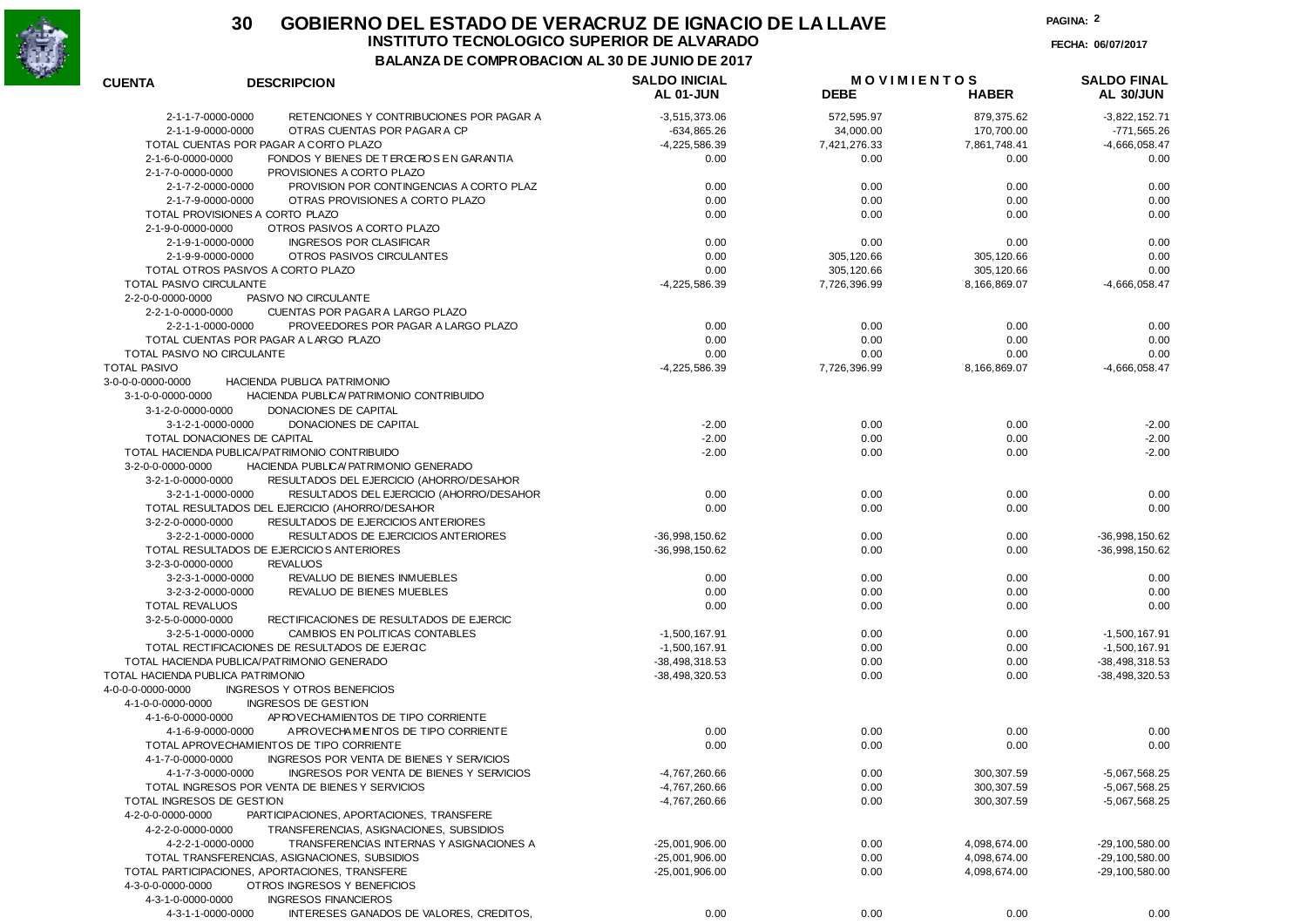

#### **30 GOBIERNO DEL ESTADO DE VERACRUZ DE IGNACIO DE LA LLAVEFECHA: 06/07/2017 INSTITUTO TECNOLOGICO SUPERIOR DE ALVARADO**

**BALANZA DE COMPROBACION AL 30 DE JUNIO DE 2017**

**PAGINA:2**

| <b>CUENTA</b>                     | <b>DESCRIPCION</b>                             | <b>SALDO INICIAL</b> | <b>MOVIMIENTOS</b> |              | <b>SALDO FINAL</b> |
|-----------------------------------|------------------------------------------------|----------------------|--------------------|--------------|--------------------|
|                                   |                                                | AL 01-JUN            | <b>DEBE</b>        | <b>HABER</b> | AL 30/JUN          |
| 2-1-1-7-0000-0000                 | RETENCIONES Y CONTRIBUCIONES POR PAGAR A       | $-3,515,373.06$      | 572,595.97         | 879,375.62   | $-3,822,152.71$    |
| 2-1-1-9-0000-0000                 | OTRAS CUENTAS POR PAGAR A CP                   | $-634,865.26$        | 34,000.00          | 170,700.00   | $-771,565.26$      |
|                                   | TOTAL CUENTAS POR PAGAR A CORTO PLAZO          | $-4,225,586.39$      | 7,421,276.33       | 7,861,748.41 | $-4,666,058.47$    |
| 2-1-6-0-0000-0000                 | FONDOS Y BIENES DE TERCEROS EN GARANTIA        | 0.00                 | 0.00               | 0.00         | 0.00               |
| 2-1-7-0-0000-0000                 | PROVISIONES A CORTO PLAZO                      |                      |                    |              |                    |
| 2-1-7-2-0000-0000                 | PROVISION POR CONTINGENCIAS A CORTO PLAZ       | 0.00                 | 0.00               | 0.00         | 0.00               |
| 2-1-7-9-0000-0000                 | OTRAS PROVISIONES A CORTO PLAZO                | 0.00                 | 0.00               | 0.00         | 0.00               |
|                                   | TOTAL PROVISIONES A CORTO PLAZO                | 0.00                 | 0.00               | 0.00         | 0.00               |
| 2-1-9-0-0000-0000                 | OTROS PASIVOS A CORTO PLAZO                    |                      |                    |              |                    |
|                                   | <b>INGRESOS POR CLASIFICAR</b>                 |                      |                    |              |                    |
| 2-1-9-1-0000-0000                 |                                                | 0.00                 | 0.00               | 0.00         | 0.00               |
| 2-1-9-9-0000-0000                 | OTROS PASIVOS CIRCULANTES                      | 0.00                 | 305, 120.66        | 305,120.66   | 0.00               |
|                                   | TOTAL OTROS PASIVOS A CORTO PLAZO              | 0.00                 | 305, 120.66        | 305,120.66   | 0.00               |
| TOTAL PASIVO CIRCULANTE           |                                                | $-4,225,586.39$      | 7,726,396.99       | 8,166,869.07 | $-4,666,058.47$    |
| 2-2-0-0-0000-0000                 | PASIVO NO CIRCULANTE                           |                      |                    |              |                    |
| 2-2-1-0-0000-0000                 | CUENTAS POR PAGAR A LARGO PLAZO                |                      |                    |              |                    |
| 2-2-1-1-0000-0000                 | PROVEEDORES POR PAGAR A LARGO PLAZO            | 0.00                 | 0.00               | 0.00         | 0.00               |
|                                   | TOTAL CUENTAS POR PAGAR A LARGO PLAZO          | 0.00                 | 0.00               | 0.00         | 0.00               |
| TOTAL PASIVO NO CIRCULANTE        |                                                | 0.00                 | 0.00               | 0.00         | 0.00               |
| <b>TOTAL PASIVO</b>               |                                                | $-4,225,586.39$      | 7,726,396.99       | 8,166,869.07 | $-4,666,058.47$    |
| 3-0-0-0-0000-0000                 | <b>HACIENDA PUBLICA PATRIMONIO</b>             |                      |                    |              |                    |
| 3-1-0-0-0000-0000                 | HACIENDA PUBLICA/PATRIMONIO CONTRIBUIDO        |                      |                    |              |                    |
| 3-1-2-0-0000-0000                 | DONACIONES DE CAPITAL                          |                      |                    |              |                    |
| 3-1-2-1-0000-0000                 | DONACIONES DE CAPITAL                          | $-2.00$              | 0.00               | 0.00         | $-2.00$            |
|                                   | TOTAL DONACIONES DE CAPITAL                    | $-2.00$              | 0.00               | 0.00         | $-2.00$            |
|                                   | TOTAL HACIENDA PUBLICA/PATRIMONIO CONTRIBUIDO  | $-2.00$              | 0.00               | 0.00         | $-2.00$            |
| 3-2-0-0-0000-0000                 | HACIENDA PUBLICA/PATRIMONIO GENERADO           |                      |                    |              |                    |
| 3-2-1-0-0000-0000                 | RESULTADOS DEL EJERCICIO (AHORRO/DESAHOR       |                      |                    |              |                    |
| 3-2-1-1-0000-0000                 |                                                | 0.00                 | 0.00               | 0.00         | 0.00               |
|                                   | RESULTADOS DEL EJERCICIO (AHORRO/DESAHOR       |                      |                    |              |                    |
|                                   | TOTAL RESULTADOS DEL EJERCICIO (AHORRO/DESAHOR | 0.00                 | 0.00               | 0.00         | 0.00               |
| 3-2-2-0-0000-0000                 | RESULTADOS DE EJERCICIOS ANTERIORES            |                      |                    |              |                    |
| 3-2-2-1-0000-0000                 | RESULTADOS DE EJERCICIOS ANTERIORES            | $-36,998,150.62$     | 0.00               | 0.00         | -36,998,150.62     |
|                                   | TOTAL RESULTADOS DE EJERCICIOS ANTERIORES      | $-36,998,150.62$     | 0.00               | 0.00         | -36,998,150.62     |
| 3-2-3-0-0000-0000                 | <b>REVALUOS</b>                                |                      |                    |              |                    |
| 3-2-3-1-0000-0000                 | REVALUO DE BIENES INMUEBLES                    | 0.00                 | 0.00               | 0.00         | 0.00               |
| 3-2-3-2-0000-0000                 | REVALUO DE BIENES MUEBLES                      | 0.00                 | 0.00               | 0.00         | 0.00               |
| <b>TOTAL REVALUOS</b>             |                                                | 0.00                 | 0.00               | 0.00         | 0.00               |
| 3-2-5-0-0000-0000                 | RECTIFICACIONES DE RESULTADOS DE EJERCIC       |                      |                    |              |                    |
| 3-2-5-1-0000-0000                 | CAMBIOS EN POLITICAS CONTABLES                 | $-1,500,167.91$      | 0.00               | 0.00         | $-1,500,167.91$    |
|                                   | TOTAL RECTIFICACIONES DE RESULTADOS DE EJERCIC | $-1,500,167.91$      | 0.00               | 0.00         | $-1,500,167.91$    |
|                                   | TOTAL HACIENDA PUBLICA/PATRIMONIO GENERADO     | $-38,498,318.53$     | 0.00               | 0.00         | -38,498,318.53     |
| TOTAL HACIENDA PUBLICA PATRIMONIO |                                                | $-38,498,320.53$     | 0.00               | 0.00         | -38,498,320.53     |
| 4-0-0-0-0000-0000                 | <b>INGRESOS Y OTROS BENEFICIOS</b>             |                      |                    |              |                    |
| 4-1-0-0-0000-0000                 | INGRESOS DE GESTION                            |                      |                    |              |                    |
| 4-1-6-0-0000-0000                 | AP ROVECHAMIENTOS DE TIPO CORRIENTE            |                      |                    |              |                    |
| 4-1-6-9-0000-0000                 | APROVECHAMENTOS DE TIPO CORRIENTE              | 0.00                 | 0.00               | 0.00         | 0.00               |
|                                   | TOTAL APROVECHAMIENTOS DE TIPO CORRIENTE       | 0.00                 | 0.00               | 0.00         | 0.00               |
| 4-1-7-0-0000-0000                 | INGRESOS POR VENTA DE BIENES Y SERVICIOS       |                      |                    |              |                    |
|                                   | INGRESOS POR VENTA DE BIENES Y SERVICIOS       | $-4,767,260.66$      | 0.00               |              | $-5,067,568.25$    |
| 4-1-7-3-0000-0000                 |                                                |                      |                    | 300, 307.59  |                    |
|                                   | TOTAL INGRESOS POR VENTA DE BIENES Y SERVICIOS | -4,767,260.66        | 0.00               | 300,307.59   | $-5,067,568.25$    |
| TOTAL INGRESOS DE GESTION         |                                                | -4,767,260.66        | 0.00               | 300, 307.59  | $-5,067,568.25$    |
| 4-2-0-0-0000-0000                 | PARTICIPACIONES, APORTACIONES, TRANSFERE       |                      |                    |              |                    |
| 4-2-2-0-0000-0000                 | TRANSFERENCIAS, ASIGNACIONES, SUBSIDIOS        |                      |                    |              |                    |
| 4-2-2-1-0000-0000                 | TRANSFERENCIAS INTERNAS Y ASIGNACIONES A       | $-25,001,906.00$     | 0.00               | 4,098,674.00 | $-29, 100, 580.00$ |
|                                   | TOTAL TRANSFERENCIAS, ASIGNACIONES, SUBSIDIOS  | $-25,001,906.00$     | 0.00               | 4,098,674.00 | $-29, 100, 580.00$ |
|                                   | TOTAL PARTICIPACIONES, APORTACIONES, TRANSFERE | $-25,001,906.00$     | 0.00               | 4,098,674.00 | $-29, 100, 580.00$ |
| 4-3-0-0-0000-0000                 | OTROS INGRESOS Y BENEFICIOS                    |                      |                    |              |                    |
| 4-3-1-0-0000-0000                 | <b>INGRESOS FINANCIEROS</b>                    |                      |                    |              |                    |
| 4-3-1-1-0000-0000                 | INTERESES GANADOS DE VALORES, CREDITOS,        | 0.00                 | 0.00               | 0.00         | 0.00               |
|                                   |                                                |                      |                    |              |                    |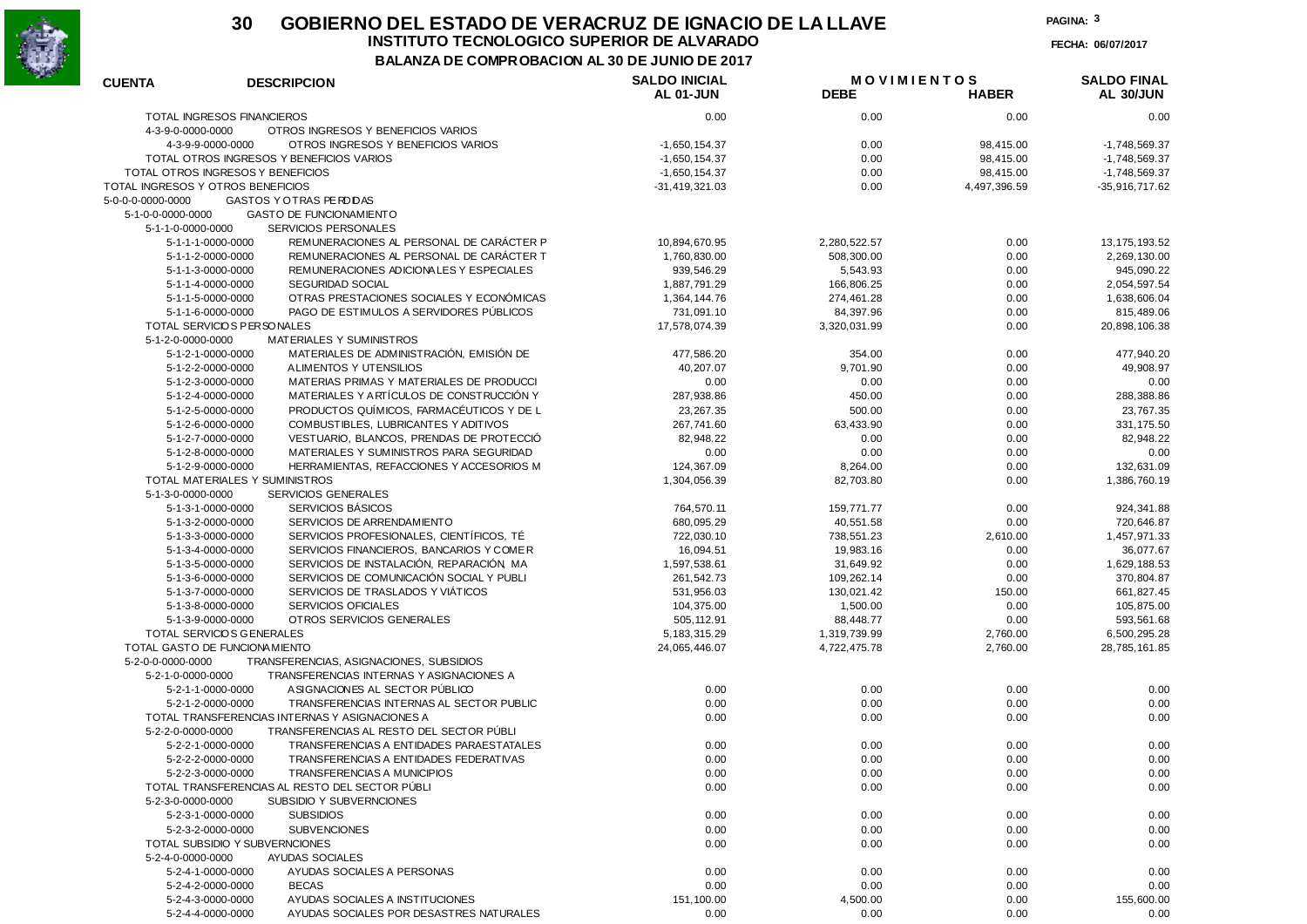

## **30 GOBIERNO DEL ESTADO DE VERACRUZ DE IGNACIO DE LA LLAVEINSTITUTO TECNOLOGICO SUPERIOR DE ALVARADO**

**FECHA: 06/07/2017**

**BALANZA DE COMPROBACION AL 30 DE JUNIO DE 2017**

| <b>TOTAL INGRESOS FINANCIEROS</b><br>0.00<br>0.00<br>0.00<br>0.00<br>4-3-9-0-0000-0000<br>OTROS INGRESOS Y BENEFICIOS VARIOS<br>4-3-9-9-0000-0000<br>OTROS INGRESOS Y BENEFICIOS VARIOS<br>$-1,650,154.37$<br>0.00<br>98,415.00<br>$-1,748,569.37$<br>TOTAL OTROS INGRESOS Y BENEFICIOS VARIOS<br>$-1,650,154.37$<br>0.00<br>98,415.00<br>$-1,748,569.37$<br>TOTAL OTROS INGRESOS Y BENEFICIOS<br>$-1,650,154.37$<br>0.00<br>98,415.00<br>$-1,748,569.37$<br>TOTAL INGRESOS Y OTROS BENEFICIOS<br>$-31,419,321.03$<br>0.00<br>-35,916,717.62<br>4,497,396.59<br>GASTOS Y OTRAS PERDIDAS<br>5-0-0-0-0000-0000<br>5-1-0-0-0000-0000<br><b>GASTO DE FUNCIONAMIENTO</b><br>5-1-1-0-0000-0000<br><b>SERVICIOS PERSONALES</b><br>REMUNERACIONES AL PERSONAL DE CARÁCTER P<br>5-1-1-1-0000-0000<br>10,894,670.95<br>2,280,522.57<br>0.00<br>13, 175, 193.52<br>REMUNERACIONES AL PERSONAL DE CARÁCTER T<br>5-1-1-2-0000-0000<br>1,760,830.00<br>508,300.00<br>0.00<br>2,269,130.00<br>REMUNERACIONES ADICIONALES Y ESPECIALES<br>5-1-1-3-0000-0000<br>939,546.29<br>5,543.93<br>0.00<br>945,090.22<br>5-1-1-4-0000-0000<br>SEGURIDAD SOCIAL<br>1,887,791.29<br>166,806.25<br>0.00<br>2,054,597.54<br>OTRAS PRESTACIONES SOCIALES Y ECONÓMICAS<br>5-1-1-5-0000-0000<br>1,364,144.76<br>274,461.28<br>0.00<br>1,638,606.04<br>PAGO DE ESTIMULOS A SERVIDORES PÚBLICOS<br>5-1-1-6-0000-0000<br>731,091.10<br>84,397.96<br>0.00<br>815,489.06<br>TOTAL SERVICIOS PERSONALES<br>17,578,074.39<br>3,320,031.99<br>20,898,106.38<br>0.00<br>MATERIALES Y SUMINISTROS<br>5-1-2-0-0000-0000<br>MATERIALES DE ADMINISTRACIÓN, EMISIÓN DE<br>5-1-2-1-0000-0000<br>477,586.20<br>354.00<br>0.00<br>477,940.20<br>ALIMENTOS Y UTENSILIOS<br>5-1-2-2-0000-0000<br>40,207.07<br>9,701.90<br>49,908.97<br>0.00<br>MATERIAS PRIMAS Y MATERIALES DE PRODUCCI<br>5-1-2-3-0000-0000<br>0.00<br>0.00<br>0.00<br>0.00<br>MATERIALES Y ARTÍCULOS DE CONSTRUCCIÓN Y<br>5-1-2-4-0000-0000<br>287,938.86<br>450.00<br>0.00<br>288,388.86<br>PRODUCTOS QUÍMICOS, FARMACÉUTICOS Y DE L<br>5-1-2-5-0000-0000<br>23,267.35<br>500.00<br>0.00<br>23,767.35<br>COMBUSTIBLES, LUBRICANTES Y ADITIVOS<br>5-1-2-6-0000-0000<br>267,741.60<br>63,433.90<br>0.00<br>331, 175.50<br>5-1-2-7-0000-0000<br>VESTUARIO, BLANCOS, PRENDAS DE PROTECCIÓ<br>82,948.22<br>0.00<br>0.00<br>82,948.22<br>5-1-2-8-0000-0000<br>MATERIALES Y SUMINISTROS PARA SEGURIDAD<br>0.00<br>0.00<br>0.00<br>0.00<br>5-1-2-9-0000-0000<br>HERRAMIENTAS, REFACCIONES Y ACCESORIOS M<br>124,367.09<br>8,264.00<br>0.00<br>132,631.09<br>TOTAL MATERIALES Y SUMINISTROS<br>1,304,056.39<br>82,703.80<br>0.00<br>1,386,760.19<br>5-1-3-0-0000-0000<br>SERVICIOS GENERALES<br>SERVICIOS BÁSICOS<br>5-1-3-1-0000-0000<br>764,570.11<br>0.00<br>924,341.88<br>159,771.77<br>SERVICIOS DE ARRENDAMIENTO<br>5-1-3-2-0000-0000<br>680,095.29<br>40,551.58<br>0.00<br>720,646.87<br>SERVICIOS PROFESIONALES, CIENTÍFICOS, TÉ<br>5-1-3-3-0000-0000<br>722,030.10<br>738,551.23<br>2,610.00<br>1,457,971.33<br>SERVICIOS FINANCIEROS, BANCARIOS Y COMER<br>5-1-3-4-0000-0000<br>16,094.51<br>19,983.16<br>0.00<br>36,077.67<br>SERVICIOS DE INSTALACIÓN, REPARACIÓN, MA<br>5-1-3-5-0000-0000<br>1,597,538.61<br>31,649.92<br>0.00<br>1,629,188.53<br>SERVICIOS DE COMUNICACIÓN SOCIAL Y PUBLI<br>5-1-3-6-0000-0000<br>261,542.73<br>109,262.14<br>0.00<br>370,804.87<br>SERVICIOS DE TRASLADOS Y VIÁTICOS<br>5-1-3-7-0000-0000<br>531,956.03<br>130,021.42<br>150.00<br>661,827.45<br>5-1-3-8-0000-0000<br><b>SERVICIOS OFICIALES</b><br>104,375.00<br>1,500.00<br>0.00<br>105,875.00<br>5-1-3-9-0000-0000<br>OTROS SERVICIOS GENERALES<br>505, 112.91<br>88,448.77<br>0.00<br>593,561.68<br>TOTAL SERVICIOS GENERALES<br>5, 183, 315. 29<br>1,319,739.99<br>2,760.00<br>6,500,295.28<br>TOTAL GASTO DE FUNCIONA MIENTO<br>24,065,446.07<br>4,722,475.78<br>2,760.00<br>28,785,161.85<br>TRANSFERENCIAS, ASIGNACIONES, SUBSIDIOS<br>5-2-0-0-0000-0000<br>5-2-1-0-0000-0000<br>TRANSFERENCIAS INTERNAS Y ASIGNACIONES A<br>A SIGNACIONES AL SECTOR PÚBLICO<br>5-2-1-1-0000-0000<br>0.00<br>0.00<br>0.00<br>0.00<br>TRANSFERENCIAS INTERNAS AL SECTOR PUBLIC<br>5-2-1-2-0000-0000<br>0.00<br>0.00<br>0.00<br>0.00<br>TOTAL TRANSFERENCIAS INTERNAS Y ASIGNACIONES A<br>0.00<br>0.00<br>0.00<br>0.00<br>TRANSFERENCIAS AL RESTO DEL SECTOR PÚBLI<br>5-2-2-0-0000-0000<br>5-2-2-1-0000-0000<br>TRANSFERENCIAS A ENTIDADES PARAESTATALES<br>0.00<br>0.00<br>0.00<br>0.00<br>5-2-2-2-0000-0000<br>TRANSFERENCIAS A ENTIDADES FEDERATIVAS<br>0.00<br>0.00<br>0.00<br>0.00<br>TRANSFERENCIAS A MUNICIPIOS<br>0.00<br>5-2-2-3-0000-0000<br>0.00<br>0.00<br>0.00<br>TOTAL TRANSFERENCIAS AL RESTO DEL SECTOR PÚBLI<br>0.00<br>0.00<br>0.00<br>0.00<br>5-2-3-0-0000-0000<br>SUBSIDIO Y SUBVERNCIONES<br>5-2-3-1-0000-0000<br><b>SUBSIDIOS</b><br>0.00<br>0.00<br>0.00<br>0.00<br>0.00<br>5-2-3-2-0000-0000<br><b>SUBVENCIONES</b><br>0.00<br>0.00<br>0.00<br>TOTAL SUBSIDIO Y SUBVERNCIONES<br>0.00<br>0.00<br>0.00<br>0.00<br>5-2-4-0-0000-0000<br>AYUDAS SOCIALES<br>5-2-4-1-0000-0000<br>AYUDAS SOCIALES A PERSONAS<br>0.00<br>0.00<br>0.00<br>0.00<br>0.00<br>5-2-4-2-0000-0000<br><b>BECAS</b><br>0.00<br>0.00<br>0.00<br>AYUDAS SOCIALES A INSTITUCIONES<br>151,100.00<br>4,500.00<br>0.00<br>5-2-4-3-0000-0000<br>155,600.00<br>5-2-4-4-0000-0000<br>AYUDAS SOCIALES POR DESASTRES NATURALES<br>0.00<br>0.00<br>0.00<br>0.00 | <b>CUENTA</b> | <b>DESCRIPCION</b> | <b>SALDO INICIAL</b> | <b>MOVIMIENTOS</b> |              | <b>SALDO FINAL</b> |
|------------------------------------------------------------------------------------------------------------------------------------------------------------------------------------------------------------------------------------------------------------------------------------------------------------------------------------------------------------------------------------------------------------------------------------------------------------------------------------------------------------------------------------------------------------------------------------------------------------------------------------------------------------------------------------------------------------------------------------------------------------------------------------------------------------------------------------------------------------------------------------------------------------------------------------------------------------------------------------------------------------------------------------------------------------------------------------------------------------------------------------------------------------------------------------------------------------------------------------------------------------------------------------------------------------------------------------------------------------------------------------------------------------------------------------------------------------------------------------------------------------------------------------------------------------------------------------------------------------------------------------------------------------------------------------------------------------------------------------------------------------------------------------------------------------------------------------------------------------------------------------------------------------------------------------------------------------------------------------------------------------------------------------------------------------------------------------------------------------------------------------------------------------------------------------------------------------------------------------------------------------------------------------------------------------------------------------------------------------------------------------------------------------------------------------------------------------------------------------------------------------------------------------------------------------------------------------------------------------------------------------------------------------------------------------------------------------------------------------------------------------------------------------------------------------------------------------------------------------------------------------------------------------------------------------------------------------------------------------------------------------------------------------------------------------------------------------------------------------------------------------------------------------------------------------------------------------------------------------------------------------------------------------------------------------------------------------------------------------------------------------------------------------------------------------------------------------------------------------------------------------------------------------------------------------------------------------------------------------------------------------------------------------------------------------------------------------------------------------------------------------------------------------------------------------------------------------------------------------------------------------------------------------------------------------------------------------------------------------------------------------------------------------------------------------------------------------------------------------------------------------------------------------------------------------------------------------------------------------------------------------------------------------------------------------------------------------------------------------------------------------------------------------------------------------------------------------------------------------------------------------------------------------------------------------------------------------------------------------------------------------------------------------------------------------------------------------------------------------------------------------------------------------------------------------------------------------------------------------------------------------------------------------------------------------------------------------------------------------------------------------------------------------------------------------------------------------------------------------------------------------------------------------------------------------------------------------------------------------------------------------------------------------------------------------------------------------------------------------------------------------------------------------------------------------------|---------------|--------------------|----------------------|--------------------|--------------|--------------------|
|                                                                                                                                                                                                                                                                                                                                                                                                                                                                                                                                                                                                                                                                                                                                                                                                                                                                                                                                                                                                                                                                                                                                                                                                                                                                                                                                                                                                                                                                                                                                                                                                                                                                                                                                                                                                                                                                                                                                                                                                                                                                                                                                                                                                                                                                                                                                                                                                                                                                                                                                                                                                                                                                                                                                                                                                                                                                                                                                                                                                                                                                                                                                                                                                                                                                                                                                                                                                                                                                                                                                                                                                                                                                                                                                                                                                                                                                                                                                                                                                                                                                                                                                                                                                                                                                                                                                                                                                                                                                                                                                                                                                                                                                                                                                                                                                                                                                                                                                                                                                                                                                                                                                                                                                                                                                                                                                                                                                                                          |               |                    | <b>AL 01-JUN</b>     | <b>DEBE</b>        | <b>HABER</b> | AL 30/JUN          |
|                                                                                                                                                                                                                                                                                                                                                                                                                                                                                                                                                                                                                                                                                                                                                                                                                                                                                                                                                                                                                                                                                                                                                                                                                                                                                                                                                                                                                                                                                                                                                                                                                                                                                                                                                                                                                                                                                                                                                                                                                                                                                                                                                                                                                                                                                                                                                                                                                                                                                                                                                                                                                                                                                                                                                                                                                                                                                                                                                                                                                                                                                                                                                                                                                                                                                                                                                                                                                                                                                                                                                                                                                                                                                                                                                                                                                                                                                                                                                                                                                                                                                                                                                                                                                                                                                                                                                                                                                                                                                                                                                                                                                                                                                                                                                                                                                                                                                                                                                                                                                                                                                                                                                                                                                                                                                                                                                                                                                                          |               |                    |                      |                    |              |                    |
|                                                                                                                                                                                                                                                                                                                                                                                                                                                                                                                                                                                                                                                                                                                                                                                                                                                                                                                                                                                                                                                                                                                                                                                                                                                                                                                                                                                                                                                                                                                                                                                                                                                                                                                                                                                                                                                                                                                                                                                                                                                                                                                                                                                                                                                                                                                                                                                                                                                                                                                                                                                                                                                                                                                                                                                                                                                                                                                                                                                                                                                                                                                                                                                                                                                                                                                                                                                                                                                                                                                                                                                                                                                                                                                                                                                                                                                                                                                                                                                                                                                                                                                                                                                                                                                                                                                                                                                                                                                                                                                                                                                                                                                                                                                                                                                                                                                                                                                                                                                                                                                                                                                                                                                                                                                                                                                                                                                                                                          |               |                    |                      |                    |              |                    |
|                                                                                                                                                                                                                                                                                                                                                                                                                                                                                                                                                                                                                                                                                                                                                                                                                                                                                                                                                                                                                                                                                                                                                                                                                                                                                                                                                                                                                                                                                                                                                                                                                                                                                                                                                                                                                                                                                                                                                                                                                                                                                                                                                                                                                                                                                                                                                                                                                                                                                                                                                                                                                                                                                                                                                                                                                                                                                                                                                                                                                                                                                                                                                                                                                                                                                                                                                                                                                                                                                                                                                                                                                                                                                                                                                                                                                                                                                                                                                                                                                                                                                                                                                                                                                                                                                                                                                                                                                                                                                                                                                                                                                                                                                                                                                                                                                                                                                                                                                                                                                                                                                                                                                                                                                                                                                                                                                                                                                                          |               |                    |                      |                    |              |                    |
|                                                                                                                                                                                                                                                                                                                                                                                                                                                                                                                                                                                                                                                                                                                                                                                                                                                                                                                                                                                                                                                                                                                                                                                                                                                                                                                                                                                                                                                                                                                                                                                                                                                                                                                                                                                                                                                                                                                                                                                                                                                                                                                                                                                                                                                                                                                                                                                                                                                                                                                                                                                                                                                                                                                                                                                                                                                                                                                                                                                                                                                                                                                                                                                                                                                                                                                                                                                                                                                                                                                                                                                                                                                                                                                                                                                                                                                                                                                                                                                                                                                                                                                                                                                                                                                                                                                                                                                                                                                                                                                                                                                                                                                                                                                                                                                                                                                                                                                                                                                                                                                                                                                                                                                                                                                                                                                                                                                                                                          |               |                    |                      |                    |              |                    |
|                                                                                                                                                                                                                                                                                                                                                                                                                                                                                                                                                                                                                                                                                                                                                                                                                                                                                                                                                                                                                                                                                                                                                                                                                                                                                                                                                                                                                                                                                                                                                                                                                                                                                                                                                                                                                                                                                                                                                                                                                                                                                                                                                                                                                                                                                                                                                                                                                                                                                                                                                                                                                                                                                                                                                                                                                                                                                                                                                                                                                                                                                                                                                                                                                                                                                                                                                                                                                                                                                                                                                                                                                                                                                                                                                                                                                                                                                                                                                                                                                                                                                                                                                                                                                                                                                                                                                                                                                                                                                                                                                                                                                                                                                                                                                                                                                                                                                                                                                                                                                                                                                                                                                                                                                                                                                                                                                                                                                                          |               |                    |                      |                    |              |                    |
|                                                                                                                                                                                                                                                                                                                                                                                                                                                                                                                                                                                                                                                                                                                                                                                                                                                                                                                                                                                                                                                                                                                                                                                                                                                                                                                                                                                                                                                                                                                                                                                                                                                                                                                                                                                                                                                                                                                                                                                                                                                                                                                                                                                                                                                                                                                                                                                                                                                                                                                                                                                                                                                                                                                                                                                                                                                                                                                                                                                                                                                                                                                                                                                                                                                                                                                                                                                                                                                                                                                                                                                                                                                                                                                                                                                                                                                                                                                                                                                                                                                                                                                                                                                                                                                                                                                                                                                                                                                                                                                                                                                                                                                                                                                                                                                                                                                                                                                                                                                                                                                                                                                                                                                                                                                                                                                                                                                                                                          |               |                    |                      |                    |              |                    |
|                                                                                                                                                                                                                                                                                                                                                                                                                                                                                                                                                                                                                                                                                                                                                                                                                                                                                                                                                                                                                                                                                                                                                                                                                                                                                                                                                                                                                                                                                                                                                                                                                                                                                                                                                                                                                                                                                                                                                                                                                                                                                                                                                                                                                                                                                                                                                                                                                                                                                                                                                                                                                                                                                                                                                                                                                                                                                                                                                                                                                                                                                                                                                                                                                                                                                                                                                                                                                                                                                                                                                                                                                                                                                                                                                                                                                                                                                                                                                                                                                                                                                                                                                                                                                                                                                                                                                                                                                                                                                                                                                                                                                                                                                                                                                                                                                                                                                                                                                                                                                                                                                                                                                                                                                                                                                                                                                                                                                                          |               |                    |                      |                    |              |                    |
|                                                                                                                                                                                                                                                                                                                                                                                                                                                                                                                                                                                                                                                                                                                                                                                                                                                                                                                                                                                                                                                                                                                                                                                                                                                                                                                                                                                                                                                                                                                                                                                                                                                                                                                                                                                                                                                                                                                                                                                                                                                                                                                                                                                                                                                                                                                                                                                                                                                                                                                                                                                                                                                                                                                                                                                                                                                                                                                                                                                                                                                                                                                                                                                                                                                                                                                                                                                                                                                                                                                                                                                                                                                                                                                                                                                                                                                                                                                                                                                                                                                                                                                                                                                                                                                                                                                                                                                                                                                                                                                                                                                                                                                                                                                                                                                                                                                                                                                                                                                                                                                                                                                                                                                                                                                                                                                                                                                                                                          |               |                    |                      |                    |              |                    |
|                                                                                                                                                                                                                                                                                                                                                                                                                                                                                                                                                                                                                                                                                                                                                                                                                                                                                                                                                                                                                                                                                                                                                                                                                                                                                                                                                                                                                                                                                                                                                                                                                                                                                                                                                                                                                                                                                                                                                                                                                                                                                                                                                                                                                                                                                                                                                                                                                                                                                                                                                                                                                                                                                                                                                                                                                                                                                                                                                                                                                                                                                                                                                                                                                                                                                                                                                                                                                                                                                                                                                                                                                                                                                                                                                                                                                                                                                                                                                                                                                                                                                                                                                                                                                                                                                                                                                                                                                                                                                                                                                                                                                                                                                                                                                                                                                                                                                                                                                                                                                                                                                                                                                                                                                                                                                                                                                                                                                                          |               |                    |                      |                    |              |                    |
|                                                                                                                                                                                                                                                                                                                                                                                                                                                                                                                                                                                                                                                                                                                                                                                                                                                                                                                                                                                                                                                                                                                                                                                                                                                                                                                                                                                                                                                                                                                                                                                                                                                                                                                                                                                                                                                                                                                                                                                                                                                                                                                                                                                                                                                                                                                                                                                                                                                                                                                                                                                                                                                                                                                                                                                                                                                                                                                                                                                                                                                                                                                                                                                                                                                                                                                                                                                                                                                                                                                                                                                                                                                                                                                                                                                                                                                                                                                                                                                                                                                                                                                                                                                                                                                                                                                                                                                                                                                                                                                                                                                                                                                                                                                                                                                                                                                                                                                                                                                                                                                                                                                                                                                                                                                                                                                                                                                                                                          |               |                    |                      |                    |              |                    |
|                                                                                                                                                                                                                                                                                                                                                                                                                                                                                                                                                                                                                                                                                                                                                                                                                                                                                                                                                                                                                                                                                                                                                                                                                                                                                                                                                                                                                                                                                                                                                                                                                                                                                                                                                                                                                                                                                                                                                                                                                                                                                                                                                                                                                                                                                                                                                                                                                                                                                                                                                                                                                                                                                                                                                                                                                                                                                                                                                                                                                                                                                                                                                                                                                                                                                                                                                                                                                                                                                                                                                                                                                                                                                                                                                                                                                                                                                                                                                                                                                                                                                                                                                                                                                                                                                                                                                                                                                                                                                                                                                                                                                                                                                                                                                                                                                                                                                                                                                                                                                                                                                                                                                                                                                                                                                                                                                                                                                                          |               |                    |                      |                    |              |                    |
|                                                                                                                                                                                                                                                                                                                                                                                                                                                                                                                                                                                                                                                                                                                                                                                                                                                                                                                                                                                                                                                                                                                                                                                                                                                                                                                                                                                                                                                                                                                                                                                                                                                                                                                                                                                                                                                                                                                                                                                                                                                                                                                                                                                                                                                                                                                                                                                                                                                                                                                                                                                                                                                                                                                                                                                                                                                                                                                                                                                                                                                                                                                                                                                                                                                                                                                                                                                                                                                                                                                                                                                                                                                                                                                                                                                                                                                                                                                                                                                                                                                                                                                                                                                                                                                                                                                                                                                                                                                                                                                                                                                                                                                                                                                                                                                                                                                                                                                                                                                                                                                                                                                                                                                                                                                                                                                                                                                                                                          |               |                    |                      |                    |              |                    |
|                                                                                                                                                                                                                                                                                                                                                                                                                                                                                                                                                                                                                                                                                                                                                                                                                                                                                                                                                                                                                                                                                                                                                                                                                                                                                                                                                                                                                                                                                                                                                                                                                                                                                                                                                                                                                                                                                                                                                                                                                                                                                                                                                                                                                                                                                                                                                                                                                                                                                                                                                                                                                                                                                                                                                                                                                                                                                                                                                                                                                                                                                                                                                                                                                                                                                                                                                                                                                                                                                                                                                                                                                                                                                                                                                                                                                                                                                                                                                                                                                                                                                                                                                                                                                                                                                                                                                                                                                                                                                                                                                                                                                                                                                                                                                                                                                                                                                                                                                                                                                                                                                                                                                                                                                                                                                                                                                                                                                                          |               |                    |                      |                    |              |                    |
|                                                                                                                                                                                                                                                                                                                                                                                                                                                                                                                                                                                                                                                                                                                                                                                                                                                                                                                                                                                                                                                                                                                                                                                                                                                                                                                                                                                                                                                                                                                                                                                                                                                                                                                                                                                                                                                                                                                                                                                                                                                                                                                                                                                                                                                                                                                                                                                                                                                                                                                                                                                                                                                                                                                                                                                                                                                                                                                                                                                                                                                                                                                                                                                                                                                                                                                                                                                                                                                                                                                                                                                                                                                                                                                                                                                                                                                                                                                                                                                                                                                                                                                                                                                                                                                                                                                                                                                                                                                                                                                                                                                                                                                                                                                                                                                                                                                                                                                                                                                                                                                                                                                                                                                                                                                                                                                                                                                                                                          |               |                    |                      |                    |              |                    |
|                                                                                                                                                                                                                                                                                                                                                                                                                                                                                                                                                                                                                                                                                                                                                                                                                                                                                                                                                                                                                                                                                                                                                                                                                                                                                                                                                                                                                                                                                                                                                                                                                                                                                                                                                                                                                                                                                                                                                                                                                                                                                                                                                                                                                                                                                                                                                                                                                                                                                                                                                                                                                                                                                                                                                                                                                                                                                                                                                                                                                                                                                                                                                                                                                                                                                                                                                                                                                                                                                                                                                                                                                                                                                                                                                                                                                                                                                                                                                                                                                                                                                                                                                                                                                                                                                                                                                                                                                                                                                                                                                                                                                                                                                                                                                                                                                                                                                                                                                                                                                                                                                                                                                                                                                                                                                                                                                                                                                                          |               |                    |                      |                    |              |                    |
|                                                                                                                                                                                                                                                                                                                                                                                                                                                                                                                                                                                                                                                                                                                                                                                                                                                                                                                                                                                                                                                                                                                                                                                                                                                                                                                                                                                                                                                                                                                                                                                                                                                                                                                                                                                                                                                                                                                                                                                                                                                                                                                                                                                                                                                                                                                                                                                                                                                                                                                                                                                                                                                                                                                                                                                                                                                                                                                                                                                                                                                                                                                                                                                                                                                                                                                                                                                                                                                                                                                                                                                                                                                                                                                                                                                                                                                                                                                                                                                                                                                                                                                                                                                                                                                                                                                                                                                                                                                                                                                                                                                                                                                                                                                                                                                                                                                                                                                                                                                                                                                                                                                                                                                                                                                                                                                                                                                                                                          |               |                    |                      |                    |              |                    |
|                                                                                                                                                                                                                                                                                                                                                                                                                                                                                                                                                                                                                                                                                                                                                                                                                                                                                                                                                                                                                                                                                                                                                                                                                                                                                                                                                                                                                                                                                                                                                                                                                                                                                                                                                                                                                                                                                                                                                                                                                                                                                                                                                                                                                                                                                                                                                                                                                                                                                                                                                                                                                                                                                                                                                                                                                                                                                                                                                                                                                                                                                                                                                                                                                                                                                                                                                                                                                                                                                                                                                                                                                                                                                                                                                                                                                                                                                                                                                                                                                                                                                                                                                                                                                                                                                                                                                                                                                                                                                                                                                                                                                                                                                                                                                                                                                                                                                                                                                                                                                                                                                                                                                                                                                                                                                                                                                                                                                                          |               |                    |                      |                    |              |                    |
|                                                                                                                                                                                                                                                                                                                                                                                                                                                                                                                                                                                                                                                                                                                                                                                                                                                                                                                                                                                                                                                                                                                                                                                                                                                                                                                                                                                                                                                                                                                                                                                                                                                                                                                                                                                                                                                                                                                                                                                                                                                                                                                                                                                                                                                                                                                                                                                                                                                                                                                                                                                                                                                                                                                                                                                                                                                                                                                                                                                                                                                                                                                                                                                                                                                                                                                                                                                                                                                                                                                                                                                                                                                                                                                                                                                                                                                                                                                                                                                                                                                                                                                                                                                                                                                                                                                                                                                                                                                                                                                                                                                                                                                                                                                                                                                                                                                                                                                                                                                                                                                                                                                                                                                                                                                                                                                                                                                                                                          |               |                    |                      |                    |              |                    |
|                                                                                                                                                                                                                                                                                                                                                                                                                                                                                                                                                                                                                                                                                                                                                                                                                                                                                                                                                                                                                                                                                                                                                                                                                                                                                                                                                                                                                                                                                                                                                                                                                                                                                                                                                                                                                                                                                                                                                                                                                                                                                                                                                                                                                                                                                                                                                                                                                                                                                                                                                                                                                                                                                                                                                                                                                                                                                                                                                                                                                                                                                                                                                                                                                                                                                                                                                                                                                                                                                                                                                                                                                                                                                                                                                                                                                                                                                                                                                                                                                                                                                                                                                                                                                                                                                                                                                                                                                                                                                                                                                                                                                                                                                                                                                                                                                                                                                                                                                                                                                                                                                                                                                                                                                                                                                                                                                                                                                                          |               |                    |                      |                    |              |                    |
|                                                                                                                                                                                                                                                                                                                                                                                                                                                                                                                                                                                                                                                                                                                                                                                                                                                                                                                                                                                                                                                                                                                                                                                                                                                                                                                                                                                                                                                                                                                                                                                                                                                                                                                                                                                                                                                                                                                                                                                                                                                                                                                                                                                                                                                                                                                                                                                                                                                                                                                                                                                                                                                                                                                                                                                                                                                                                                                                                                                                                                                                                                                                                                                                                                                                                                                                                                                                                                                                                                                                                                                                                                                                                                                                                                                                                                                                                                                                                                                                                                                                                                                                                                                                                                                                                                                                                                                                                                                                                                                                                                                                                                                                                                                                                                                                                                                                                                                                                                                                                                                                                                                                                                                                                                                                                                                                                                                                                                          |               |                    |                      |                    |              |                    |
|                                                                                                                                                                                                                                                                                                                                                                                                                                                                                                                                                                                                                                                                                                                                                                                                                                                                                                                                                                                                                                                                                                                                                                                                                                                                                                                                                                                                                                                                                                                                                                                                                                                                                                                                                                                                                                                                                                                                                                                                                                                                                                                                                                                                                                                                                                                                                                                                                                                                                                                                                                                                                                                                                                                                                                                                                                                                                                                                                                                                                                                                                                                                                                                                                                                                                                                                                                                                                                                                                                                                                                                                                                                                                                                                                                                                                                                                                                                                                                                                                                                                                                                                                                                                                                                                                                                                                                                                                                                                                                                                                                                                                                                                                                                                                                                                                                                                                                                                                                                                                                                                                                                                                                                                                                                                                                                                                                                                                                          |               |                    |                      |                    |              |                    |
|                                                                                                                                                                                                                                                                                                                                                                                                                                                                                                                                                                                                                                                                                                                                                                                                                                                                                                                                                                                                                                                                                                                                                                                                                                                                                                                                                                                                                                                                                                                                                                                                                                                                                                                                                                                                                                                                                                                                                                                                                                                                                                                                                                                                                                                                                                                                                                                                                                                                                                                                                                                                                                                                                                                                                                                                                                                                                                                                                                                                                                                                                                                                                                                                                                                                                                                                                                                                                                                                                                                                                                                                                                                                                                                                                                                                                                                                                                                                                                                                                                                                                                                                                                                                                                                                                                                                                                                                                                                                                                                                                                                                                                                                                                                                                                                                                                                                                                                                                                                                                                                                                                                                                                                                                                                                                                                                                                                                                                          |               |                    |                      |                    |              |                    |
|                                                                                                                                                                                                                                                                                                                                                                                                                                                                                                                                                                                                                                                                                                                                                                                                                                                                                                                                                                                                                                                                                                                                                                                                                                                                                                                                                                                                                                                                                                                                                                                                                                                                                                                                                                                                                                                                                                                                                                                                                                                                                                                                                                                                                                                                                                                                                                                                                                                                                                                                                                                                                                                                                                                                                                                                                                                                                                                                                                                                                                                                                                                                                                                                                                                                                                                                                                                                                                                                                                                                                                                                                                                                                                                                                                                                                                                                                                                                                                                                                                                                                                                                                                                                                                                                                                                                                                                                                                                                                                                                                                                                                                                                                                                                                                                                                                                                                                                                                                                                                                                                                                                                                                                                                                                                                                                                                                                                                                          |               |                    |                      |                    |              |                    |
|                                                                                                                                                                                                                                                                                                                                                                                                                                                                                                                                                                                                                                                                                                                                                                                                                                                                                                                                                                                                                                                                                                                                                                                                                                                                                                                                                                                                                                                                                                                                                                                                                                                                                                                                                                                                                                                                                                                                                                                                                                                                                                                                                                                                                                                                                                                                                                                                                                                                                                                                                                                                                                                                                                                                                                                                                                                                                                                                                                                                                                                                                                                                                                                                                                                                                                                                                                                                                                                                                                                                                                                                                                                                                                                                                                                                                                                                                                                                                                                                                                                                                                                                                                                                                                                                                                                                                                                                                                                                                                                                                                                                                                                                                                                                                                                                                                                                                                                                                                                                                                                                                                                                                                                                                                                                                                                                                                                                                                          |               |                    |                      |                    |              |                    |
|                                                                                                                                                                                                                                                                                                                                                                                                                                                                                                                                                                                                                                                                                                                                                                                                                                                                                                                                                                                                                                                                                                                                                                                                                                                                                                                                                                                                                                                                                                                                                                                                                                                                                                                                                                                                                                                                                                                                                                                                                                                                                                                                                                                                                                                                                                                                                                                                                                                                                                                                                                                                                                                                                                                                                                                                                                                                                                                                                                                                                                                                                                                                                                                                                                                                                                                                                                                                                                                                                                                                                                                                                                                                                                                                                                                                                                                                                                                                                                                                                                                                                                                                                                                                                                                                                                                                                                                                                                                                                                                                                                                                                                                                                                                                                                                                                                                                                                                                                                                                                                                                                                                                                                                                                                                                                                                                                                                                                                          |               |                    |                      |                    |              |                    |
|                                                                                                                                                                                                                                                                                                                                                                                                                                                                                                                                                                                                                                                                                                                                                                                                                                                                                                                                                                                                                                                                                                                                                                                                                                                                                                                                                                                                                                                                                                                                                                                                                                                                                                                                                                                                                                                                                                                                                                                                                                                                                                                                                                                                                                                                                                                                                                                                                                                                                                                                                                                                                                                                                                                                                                                                                                                                                                                                                                                                                                                                                                                                                                                                                                                                                                                                                                                                                                                                                                                                                                                                                                                                                                                                                                                                                                                                                                                                                                                                                                                                                                                                                                                                                                                                                                                                                                                                                                                                                                                                                                                                                                                                                                                                                                                                                                                                                                                                                                                                                                                                                                                                                                                                                                                                                                                                                                                                                                          |               |                    |                      |                    |              |                    |
|                                                                                                                                                                                                                                                                                                                                                                                                                                                                                                                                                                                                                                                                                                                                                                                                                                                                                                                                                                                                                                                                                                                                                                                                                                                                                                                                                                                                                                                                                                                                                                                                                                                                                                                                                                                                                                                                                                                                                                                                                                                                                                                                                                                                                                                                                                                                                                                                                                                                                                                                                                                                                                                                                                                                                                                                                                                                                                                                                                                                                                                                                                                                                                                                                                                                                                                                                                                                                                                                                                                                                                                                                                                                                                                                                                                                                                                                                                                                                                                                                                                                                                                                                                                                                                                                                                                                                                                                                                                                                                                                                                                                                                                                                                                                                                                                                                                                                                                                                                                                                                                                                                                                                                                                                                                                                                                                                                                                                                          |               |                    |                      |                    |              |                    |
|                                                                                                                                                                                                                                                                                                                                                                                                                                                                                                                                                                                                                                                                                                                                                                                                                                                                                                                                                                                                                                                                                                                                                                                                                                                                                                                                                                                                                                                                                                                                                                                                                                                                                                                                                                                                                                                                                                                                                                                                                                                                                                                                                                                                                                                                                                                                                                                                                                                                                                                                                                                                                                                                                                                                                                                                                                                                                                                                                                                                                                                                                                                                                                                                                                                                                                                                                                                                                                                                                                                                                                                                                                                                                                                                                                                                                                                                                                                                                                                                                                                                                                                                                                                                                                                                                                                                                                                                                                                                                                                                                                                                                                                                                                                                                                                                                                                                                                                                                                                                                                                                                                                                                                                                                                                                                                                                                                                                                                          |               |                    |                      |                    |              |                    |
|                                                                                                                                                                                                                                                                                                                                                                                                                                                                                                                                                                                                                                                                                                                                                                                                                                                                                                                                                                                                                                                                                                                                                                                                                                                                                                                                                                                                                                                                                                                                                                                                                                                                                                                                                                                                                                                                                                                                                                                                                                                                                                                                                                                                                                                                                                                                                                                                                                                                                                                                                                                                                                                                                                                                                                                                                                                                                                                                                                                                                                                                                                                                                                                                                                                                                                                                                                                                                                                                                                                                                                                                                                                                                                                                                                                                                                                                                                                                                                                                                                                                                                                                                                                                                                                                                                                                                                                                                                                                                                                                                                                                                                                                                                                                                                                                                                                                                                                                                                                                                                                                                                                                                                                                                                                                                                                                                                                                                                          |               |                    |                      |                    |              |                    |
|                                                                                                                                                                                                                                                                                                                                                                                                                                                                                                                                                                                                                                                                                                                                                                                                                                                                                                                                                                                                                                                                                                                                                                                                                                                                                                                                                                                                                                                                                                                                                                                                                                                                                                                                                                                                                                                                                                                                                                                                                                                                                                                                                                                                                                                                                                                                                                                                                                                                                                                                                                                                                                                                                                                                                                                                                                                                                                                                                                                                                                                                                                                                                                                                                                                                                                                                                                                                                                                                                                                                                                                                                                                                                                                                                                                                                                                                                                                                                                                                                                                                                                                                                                                                                                                                                                                                                                                                                                                                                                                                                                                                                                                                                                                                                                                                                                                                                                                                                                                                                                                                                                                                                                                                                                                                                                                                                                                                                                          |               |                    |                      |                    |              |                    |
|                                                                                                                                                                                                                                                                                                                                                                                                                                                                                                                                                                                                                                                                                                                                                                                                                                                                                                                                                                                                                                                                                                                                                                                                                                                                                                                                                                                                                                                                                                                                                                                                                                                                                                                                                                                                                                                                                                                                                                                                                                                                                                                                                                                                                                                                                                                                                                                                                                                                                                                                                                                                                                                                                                                                                                                                                                                                                                                                                                                                                                                                                                                                                                                                                                                                                                                                                                                                                                                                                                                                                                                                                                                                                                                                                                                                                                                                                                                                                                                                                                                                                                                                                                                                                                                                                                                                                                                                                                                                                                                                                                                                                                                                                                                                                                                                                                                                                                                                                                                                                                                                                                                                                                                                                                                                                                                                                                                                                                          |               |                    |                      |                    |              |                    |
|                                                                                                                                                                                                                                                                                                                                                                                                                                                                                                                                                                                                                                                                                                                                                                                                                                                                                                                                                                                                                                                                                                                                                                                                                                                                                                                                                                                                                                                                                                                                                                                                                                                                                                                                                                                                                                                                                                                                                                                                                                                                                                                                                                                                                                                                                                                                                                                                                                                                                                                                                                                                                                                                                                                                                                                                                                                                                                                                                                                                                                                                                                                                                                                                                                                                                                                                                                                                                                                                                                                                                                                                                                                                                                                                                                                                                                                                                                                                                                                                                                                                                                                                                                                                                                                                                                                                                                                                                                                                                                                                                                                                                                                                                                                                                                                                                                                                                                                                                                                                                                                                                                                                                                                                                                                                                                                                                                                                                                          |               |                    |                      |                    |              |                    |
|                                                                                                                                                                                                                                                                                                                                                                                                                                                                                                                                                                                                                                                                                                                                                                                                                                                                                                                                                                                                                                                                                                                                                                                                                                                                                                                                                                                                                                                                                                                                                                                                                                                                                                                                                                                                                                                                                                                                                                                                                                                                                                                                                                                                                                                                                                                                                                                                                                                                                                                                                                                                                                                                                                                                                                                                                                                                                                                                                                                                                                                                                                                                                                                                                                                                                                                                                                                                                                                                                                                                                                                                                                                                                                                                                                                                                                                                                                                                                                                                                                                                                                                                                                                                                                                                                                                                                                                                                                                                                                                                                                                                                                                                                                                                                                                                                                                                                                                                                                                                                                                                                                                                                                                                                                                                                                                                                                                                                                          |               |                    |                      |                    |              |                    |
|                                                                                                                                                                                                                                                                                                                                                                                                                                                                                                                                                                                                                                                                                                                                                                                                                                                                                                                                                                                                                                                                                                                                                                                                                                                                                                                                                                                                                                                                                                                                                                                                                                                                                                                                                                                                                                                                                                                                                                                                                                                                                                                                                                                                                                                                                                                                                                                                                                                                                                                                                                                                                                                                                                                                                                                                                                                                                                                                                                                                                                                                                                                                                                                                                                                                                                                                                                                                                                                                                                                                                                                                                                                                                                                                                                                                                                                                                                                                                                                                                                                                                                                                                                                                                                                                                                                                                                                                                                                                                                                                                                                                                                                                                                                                                                                                                                                                                                                                                                                                                                                                                                                                                                                                                                                                                                                                                                                                                                          |               |                    |                      |                    |              |                    |
|                                                                                                                                                                                                                                                                                                                                                                                                                                                                                                                                                                                                                                                                                                                                                                                                                                                                                                                                                                                                                                                                                                                                                                                                                                                                                                                                                                                                                                                                                                                                                                                                                                                                                                                                                                                                                                                                                                                                                                                                                                                                                                                                                                                                                                                                                                                                                                                                                                                                                                                                                                                                                                                                                                                                                                                                                                                                                                                                                                                                                                                                                                                                                                                                                                                                                                                                                                                                                                                                                                                                                                                                                                                                                                                                                                                                                                                                                                                                                                                                                                                                                                                                                                                                                                                                                                                                                                                                                                                                                                                                                                                                                                                                                                                                                                                                                                                                                                                                                                                                                                                                                                                                                                                                                                                                                                                                                                                                                                          |               |                    |                      |                    |              |                    |
|                                                                                                                                                                                                                                                                                                                                                                                                                                                                                                                                                                                                                                                                                                                                                                                                                                                                                                                                                                                                                                                                                                                                                                                                                                                                                                                                                                                                                                                                                                                                                                                                                                                                                                                                                                                                                                                                                                                                                                                                                                                                                                                                                                                                                                                                                                                                                                                                                                                                                                                                                                                                                                                                                                                                                                                                                                                                                                                                                                                                                                                                                                                                                                                                                                                                                                                                                                                                                                                                                                                                                                                                                                                                                                                                                                                                                                                                                                                                                                                                                                                                                                                                                                                                                                                                                                                                                                                                                                                                                                                                                                                                                                                                                                                                                                                                                                                                                                                                                                                                                                                                                                                                                                                                                                                                                                                                                                                                                                          |               |                    |                      |                    |              |                    |
|                                                                                                                                                                                                                                                                                                                                                                                                                                                                                                                                                                                                                                                                                                                                                                                                                                                                                                                                                                                                                                                                                                                                                                                                                                                                                                                                                                                                                                                                                                                                                                                                                                                                                                                                                                                                                                                                                                                                                                                                                                                                                                                                                                                                                                                                                                                                                                                                                                                                                                                                                                                                                                                                                                                                                                                                                                                                                                                                                                                                                                                                                                                                                                                                                                                                                                                                                                                                                                                                                                                                                                                                                                                                                                                                                                                                                                                                                                                                                                                                                                                                                                                                                                                                                                                                                                                                                                                                                                                                                                                                                                                                                                                                                                                                                                                                                                                                                                                                                                                                                                                                                                                                                                                                                                                                                                                                                                                                                                          |               |                    |                      |                    |              |                    |
|                                                                                                                                                                                                                                                                                                                                                                                                                                                                                                                                                                                                                                                                                                                                                                                                                                                                                                                                                                                                                                                                                                                                                                                                                                                                                                                                                                                                                                                                                                                                                                                                                                                                                                                                                                                                                                                                                                                                                                                                                                                                                                                                                                                                                                                                                                                                                                                                                                                                                                                                                                                                                                                                                                                                                                                                                                                                                                                                                                                                                                                                                                                                                                                                                                                                                                                                                                                                                                                                                                                                                                                                                                                                                                                                                                                                                                                                                                                                                                                                                                                                                                                                                                                                                                                                                                                                                                                                                                                                                                                                                                                                                                                                                                                                                                                                                                                                                                                                                                                                                                                                                                                                                                                                                                                                                                                                                                                                                                          |               |                    |                      |                    |              |                    |
|                                                                                                                                                                                                                                                                                                                                                                                                                                                                                                                                                                                                                                                                                                                                                                                                                                                                                                                                                                                                                                                                                                                                                                                                                                                                                                                                                                                                                                                                                                                                                                                                                                                                                                                                                                                                                                                                                                                                                                                                                                                                                                                                                                                                                                                                                                                                                                                                                                                                                                                                                                                                                                                                                                                                                                                                                                                                                                                                                                                                                                                                                                                                                                                                                                                                                                                                                                                                                                                                                                                                                                                                                                                                                                                                                                                                                                                                                                                                                                                                                                                                                                                                                                                                                                                                                                                                                                                                                                                                                                                                                                                                                                                                                                                                                                                                                                                                                                                                                                                                                                                                                                                                                                                                                                                                                                                                                                                                                                          |               |                    |                      |                    |              |                    |
|                                                                                                                                                                                                                                                                                                                                                                                                                                                                                                                                                                                                                                                                                                                                                                                                                                                                                                                                                                                                                                                                                                                                                                                                                                                                                                                                                                                                                                                                                                                                                                                                                                                                                                                                                                                                                                                                                                                                                                                                                                                                                                                                                                                                                                                                                                                                                                                                                                                                                                                                                                                                                                                                                                                                                                                                                                                                                                                                                                                                                                                                                                                                                                                                                                                                                                                                                                                                                                                                                                                                                                                                                                                                                                                                                                                                                                                                                                                                                                                                                                                                                                                                                                                                                                                                                                                                                                                                                                                                                                                                                                                                                                                                                                                                                                                                                                                                                                                                                                                                                                                                                                                                                                                                                                                                                                                                                                                                                                          |               |                    |                      |                    |              |                    |
|                                                                                                                                                                                                                                                                                                                                                                                                                                                                                                                                                                                                                                                                                                                                                                                                                                                                                                                                                                                                                                                                                                                                                                                                                                                                                                                                                                                                                                                                                                                                                                                                                                                                                                                                                                                                                                                                                                                                                                                                                                                                                                                                                                                                                                                                                                                                                                                                                                                                                                                                                                                                                                                                                                                                                                                                                                                                                                                                                                                                                                                                                                                                                                                                                                                                                                                                                                                                                                                                                                                                                                                                                                                                                                                                                                                                                                                                                                                                                                                                                                                                                                                                                                                                                                                                                                                                                                                                                                                                                                                                                                                                                                                                                                                                                                                                                                                                                                                                                                                                                                                                                                                                                                                                                                                                                                                                                                                                                                          |               |                    |                      |                    |              |                    |
|                                                                                                                                                                                                                                                                                                                                                                                                                                                                                                                                                                                                                                                                                                                                                                                                                                                                                                                                                                                                                                                                                                                                                                                                                                                                                                                                                                                                                                                                                                                                                                                                                                                                                                                                                                                                                                                                                                                                                                                                                                                                                                                                                                                                                                                                                                                                                                                                                                                                                                                                                                                                                                                                                                                                                                                                                                                                                                                                                                                                                                                                                                                                                                                                                                                                                                                                                                                                                                                                                                                                                                                                                                                                                                                                                                                                                                                                                                                                                                                                                                                                                                                                                                                                                                                                                                                                                                                                                                                                                                                                                                                                                                                                                                                                                                                                                                                                                                                                                                                                                                                                                                                                                                                                                                                                                                                                                                                                                                          |               |                    |                      |                    |              |                    |
|                                                                                                                                                                                                                                                                                                                                                                                                                                                                                                                                                                                                                                                                                                                                                                                                                                                                                                                                                                                                                                                                                                                                                                                                                                                                                                                                                                                                                                                                                                                                                                                                                                                                                                                                                                                                                                                                                                                                                                                                                                                                                                                                                                                                                                                                                                                                                                                                                                                                                                                                                                                                                                                                                                                                                                                                                                                                                                                                                                                                                                                                                                                                                                                                                                                                                                                                                                                                                                                                                                                                                                                                                                                                                                                                                                                                                                                                                                                                                                                                                                                                                                                                                                                                                                                                                                                                                                                                                                                                                                                                                                                                                                                                                                                                                                                                                                                                                                                                                                                                                                                                                                                                                                                                                                                                                                                                                                                                                                          |               |                    |                      |                    |              |                    |
|                                                                                                                                                                                                                                                                                                                                                                                                                                                                                                                                                                                                                                                                                                                                                                                                                                                                                                                                                                                                                                                                                                                                                                                                                                                                                                                                                                                                                                                                                                                                                                                                                                                                                                                                                                                                                                                                                                                                                                                                                                                                                                                                                                                                                                                                                                                                                                                                                                                                                                                                                                                                                                                                                                                                                                                                                                                                                                                                                                                                                                                                                                                                                                                                                                                                                                                                                                                                                                                                                                                                                                                                                                                                                                                                                                                                                                                                                                                                                                                                                                                                                                                                                                                                                                                                                                                                                                                                                                                                                                                                                                                                                                                                                                                                                                                                                                                                                                                                                                                                                                                                                                                                                                                                                                                                                                                                                                                                                                          |               |                    |                      |                    |              |                    |
|                                                                                                                                                                                                                                                                                                                                                                                                                                                                                                                                                                                                                                                                                                                                                                                                                                                                                                                                                                                                                                                                                                                                                                                                                                                                                                                                                                                                                                                                                                                                                                                                                                                                                                                                                                                                                                                                                                                                                                                                                                                                                                                                                                                                                                                                                                                                                                                                                                                                                                                                                                                                                                                                                                                                                                                                                                                                                                                                                                                                                                                                                                                                                                                                                                                                                                                                                                                                                                                                                                                                                                                                                                                                                                                                                                                                                                                                                                                                                                                                                                                                                                                                                                                                                                                                                                                                                                                                                                                                                                                                                                                                                                                                                                                                                                                                                                                                                                                                                                                                                                                                                                                                                                                                                                                                                                                                                                                                                                          |               |                    |                      |                    |              |                    |
|                                                                                                                                                                                                                                                                                                                                                                                                                                                                                                                                                                                                                                                                                                                                                                                                                                                                                                                                                                                                                                                                                                                                                                                                                                                                                                                                                                                                                                                                                                                                                                                                                                                                                                                                                                                                                                                                                                                                                                                                                                                                                                                                                                                                                                                                                                                                                                                                                                                                                                                                                                                                                                                                                                                                                                                                                                                                                                                                                                                                                                                                                                                                                                                                                                                                                                                                                                                                                                                                                                                                                                                                                                                                                                                                                                                                                                                                                                                                                                                                                                                                                                                                                                                                                                                                                                                                                                                                                                                                                                                                                                                                                                                                                                                                                                                                                                                                                                                                                                                                                                                                                                                                                                                                                                                                                                                                                                                                                                          |               |                    |                      |                    |              |                    |
|                                                                                                                                                                                                                                                                                                                                                                                                                                                                                                                                                                                                                                                                                                                                                                                                                                                                                                                                                                                                                                                                                                                                                                                                                                                                                                                                                                                                                                                                                                                                                                                                                                                                                                                                                                                                                                                                                                                                                                                                                                                                                                                                                                                                                                                                                                                                                                                                                                                                                                                                                                                                                                                                                                                                                                                                                                                                                                                                                                                                                                                                                                                                                                                                                                                                                                                                                                                                                                                                                                                                                                                                                                                                                                                                                                                                                                                                                                                                                                                                                                                                                                                                                                                                                                                                                                                                                                                                                                                                                                                                                                                                                                                                                                                                                                                                                                                                                                                                                                                                                                                                                                                                                                                                                                                                                                                                                                                                                                          |               |                    |                      |                    |              |                    |
|                                                                                                                                                                                                                                                                                                                                                                                                                                                                                                                                                                                                                                                                                                                                                                                                                                                                                                                                                                                                                                                                                                                                                                                                                                                                                                                                                                                                                                                                                                                                                                                                                                                                                                                                                                                                                                                                                                                                                                                                                                                                                                                                                                                                                                                                                                                                                                                                                                                                                                                                                                                                                                                                                                                                                                                                                                                                                                                                                                                                                                                                                                                                                                                                                                                                                                                                                                                                                                                                                                                                                                                                                                                                                                                                                                                                                                                                                                                                                                                                                                                                                                                                                                                                                                                                                                                                                                                                                                                                                                                                                                                                                                                                                                                                                                                                                                                                                                                                                                                                                                                                                                                                                                                                                                                                                                                                                                                                                                          |               |                    |                      |                    |              |                    |
|                                                                                                                                                                                                                                                                                                                                                                                                                                                                                                                                                                                                                                                                                                                                                                                                                                                                                                                                                                                                                                                                                                                                                                                                                                                                                                                                                                                                                                                                                                                                                                                                                                                                                                                                                                                                                                                                                                                                                                                                                                                                                                                                                                                                                                                                                                                                                                                                                                                                                                                                                                                                                                                                                                                                                                                                                                                                                                                                                                                                                                                                                                                                                                                                                                                                                                                                                                                                                                                                                                                                                                                                                                                                                                                                                                                                                                                                                                                                                                                                                                                                                                                                                                                                                                                                                                                                                                                                                                                                                                                                                                                                                                                                                                                                                                                                                                                                                                                                                                                                                                                                                                                                                                                                                                                                                                                                                                                                                                          |               |                    |                      |                    |              |                    |
|                                                                                                                                                                                                                                                                                                                                                                                                                                                                                                                                                                                                                                                                                                                                                                                                                                                                                                                                                                                                                                                                                                                                                                                                                                                                                                                                                                                                                                                                                                                                                                                                                                                                                                                                                                                                                                                                                                                                                                                                                                                                                                                                                                                                                                                                                                                                                                                                                                                                                                                                                                                                                                                                                                                                                                                                                                                                                                                                                                                                                                                                                                                                                                                                                                                                                                                                                                                                                                                                                                                                                                                                                                                                                                                                                                                                                                                                                                                                                                                                                                                                                                                                                                                                                                                                                                                                                                                                                                                                                                                                                                                                                                                                                                                                                                                                                                                                                                                                                                                                                                                                                                                                                                                                                                                                                                                                                                                                                                          |               |                    |                      |                    |              |                    |
|                                                                                                                                                                                                                                                                                                                                                                                                                                                                                                                                                                                                                                                                                                                                                                                                                                                                                                                                                                                                                                                                                                                                                                                                                                                                                                                                                                                                                                                                                                                                                                                                                                                                                                                                                                                                                                                                                                                                                                                                                                                                                                                                                                                                                                                                                                                                                                                                                                                                                                                                                                                                                                                                                                                                                                                                                                                                                                                                                                                                                                                                                                                                                                                                                                                                                                                                                                                                                                                                                                                                                                                                                                                                                                                                                                                                                                                                                                                                                                                                                                                                                                                                                                                                                                                                                                                                                                                                                                                                                                                                                                                                                                                                                                                                                                                                                                                                                                                                                                                                                                                                                                                                                                                                                                                                                                                                                                                                                                          |               |                    |                      |                    |              |                    |
|                                                                                                                                                                                                                                                                                                                                                                                                                                                                                                                                                                                                                                                                                                                                                                                                                                                                                                                                                                                                                                                                                                                                                                                                                                                                                                                                                                                                                                                                                                                                                                                                                                                                                                                                                                                                                                                                                                                                                                                                                                                                                                                                                                                                                                                                                                                                                                                                                                                                                                                                                                                                                                                                                                                                                                                                                                                                                                                                                                                                                                                                                                                                                                                                                                                                                                                                                                                                                                                                                                                                                                                                                                                                                                                                                                                                                                                                                                                                                                                                                                                                                                                                                                                                                                                                                                                                                                                                                                                                                                                                                                                                                                                                                                                                                                                                                                                                                                                                                                                                                                                                                                                                                                                                                                                                                                                                                                                                                                          |               |                    |                      |                    |              |                    |
|                                                                                                                                                                                                                                                                                                                                                                                                                                                                                                                                                                                                                                                                                                                                                                                                                                                                                                                                                                                                                                                                                                                                                                                                                                                                                                                                                                                                                                                                                                                                                                                                                                                                                                                                                                                                                                                                                                                                                                                                                                                                                                                                                                                                                                                                                                                                                                                                                                                                                                                                                                                                                                                                                                                                                                                                                                                                                                                                                                                                                                                                                                                                                                                                                                                                                                                                                                                                                                                                                                                                                                                                                                                                                                                                                                                                                                                                                                                                                                                                                                                                                                                                                                                                                                                                                                                                                                                                                                                                                                                                                                                                                                                                                                                                                                                                                                                                                                                                                                                                                                                                                                                                                                                                                                                                                                                                                                                                                                          |               |                    |                      |                    |              |                    |
|                                                                                                                                                                                                                                                                                                                                                                                                                                                                                                                                                                                                                                                                                                                                                                                                                                                                                                                                                                                                                                                                                                                                                                                                                                                                                                                                                                                                                                                                                                                                                                                                                                                                                                                                                                                                                                                                                                                                                                                                                                                                                                                                                                                                                                                                                                                                                                                                                                                                                                                                                                                                                                                                                                                                                                                                                                                                                                                                                                                                                                                                                                                                                                                                                                                                                                                                                                                                                                                                                                                                                                                                                                                                                                                                                                                                                                                                                                                                                                                                                                                                                                                                                                                                                                                                                                                                                                                                                                                                                                                                                                                                                                                                                                                                                                                                                                                                                                                                                                                                                                                                                                                                                                                                                                                                                                                                                                                                                                          |               |                    |                      |                    |              |                    |
|                                                                                                                                                                                                                                                                                                                                                                                                                                                                                                                                                                                                                                                                                                                                                                                                                                                                                                                                                                                                                                                                                                                                                                                                                                                                                                                                                                                                                                                                                                                                                                                                                                                                                                                                                                                                                                                                                                                                                                                                                                                                                                                                                                                                                                                                                                                                                                                                                                                                                                                                                                                                                                                                                                                                                                                                                                                                                                                                                                                                                                                                                                                                                                                                                                                                                                                                                                                                                                                                                                                                                                                                                                                                                                                                                                                                                                                                                                                                                                                                                                                                                                                                                                                                                                                                                                                                                                                                                                                                                                                                                                                                                                                                                                                                                                                                                                                                                                                                                                                                                                                                                                                                                                                                                                                                                                                                                                                                                                          |               |                    |                      |                    |              |                    |
|                                                                                                                                                                                                                                                                                                                                                                                                                                                                                                                                                                                                                                                                                                                                                                                                                                                                                                                                                                                                                                                                                                                                                                                                                                                                                                                                                                                                                                                                                                                                                                                                                                                                                                                                                                                                                                                                                                                                                                                                                                                                                                                                                                                                                                                                                                                                                                                                                                                                                                                                                                                                                                                                                                                                                                                                                                                                                                                                                                                                                                                                                                                                                                                                                                                                                                                                                                                                                                                                                                                                                                                                                                                                                                                                                                                                                                                                                                                                                                                                                                                                                                                                                                                                                                                                                                                                                                                                                                                                                                                                                                                                                                                                                                                                                                                                                                                                                                                                                                                                                                                                                                                                                                                                                                                                                                                                                                                                                                          |               |                    |                      |                    |              |                    |
|                                                                                                                                                                                                                                                                                                                                                                                                                                                                                                                                                                                                                                                                                                                                                                                                                                                                                                                                                                                                                                                                                                                                                                                                                                                                                                                                                                                                                                                                                                                                                                                                                                                                                                                                                                                                                                                                                                                                                                                                                                                                                                                                                                                                                                                                                                                                                                                                                                                                                                                                                                                                                                                                                                                                                                                                                                                                                                                                                                                                                                                                                                                                                                                                                                                                                                                                                                                                                                                                                                                                                                                                                                                                                                                                                                                                                                                                                                                                                                                                                                                                                                                                                                                                                                                                                                                                                                                                                                                                                                                                                                                                                                                                                                                                                                                                                                                                                                                                                                                                                                                                                                                                                                                                                                                                                                                                                                                                                                          |               |                    |                      |                    |              |                    |
|                                                                                                                                                                                                                                                                                                                                                                                                                                                                                                                                                                                                                                                                                                                                                                                                                                                                                                                                                                                                                                                                                                                                                                                                                                                                                                                                                                                                                                                                                                                                                                                                                                                                                                                                                                                                                                                                                                                                                                                                                                                                                                                                                                                                                                                                                                                                                                                                                                                                                                                                                                                                                                                                                                                                                                                                                                                                                                                                                                                                                                                                                                                                                                                                                                                                                                                                                                                                                                                                                                                                                                                                                                                                                                                                                                                                                                                                                                                                                                                                                                                                                                                                                                                                                                                                                                                                                                                                                                                                                                                                                                                                                                                                                                                                                                                                                                                                                                                                                                                                                                                                                                                                                                                                                                                                                                                                                                                                                                          |               |                    |                      |                    |              |                    |

**PAGINA:3**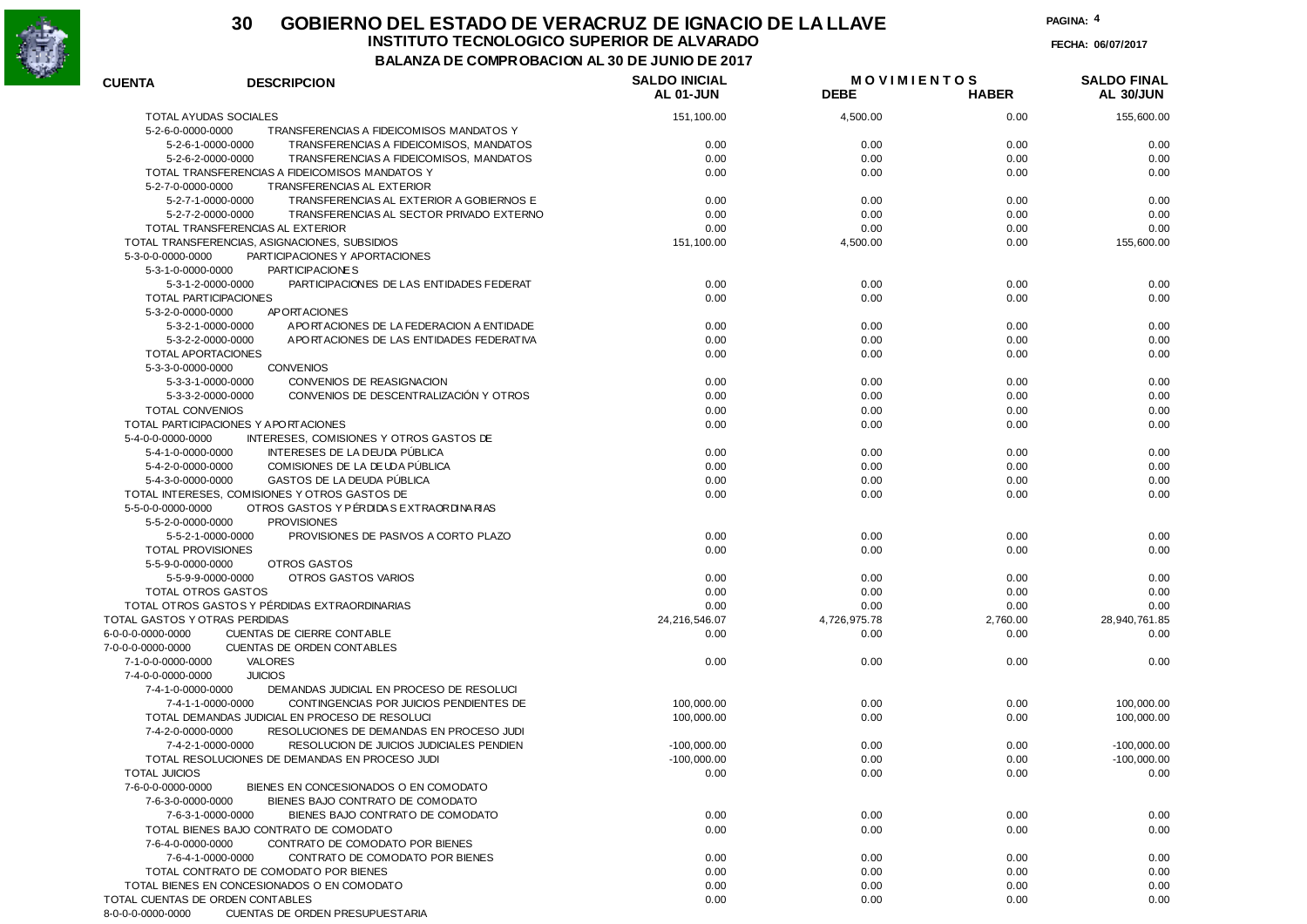

## **30 GOBIERNO DEL ESTADO DE VERACRUZ DE IGNACIO DE LA LLAVEINSTITUTO TECNOLOGICO SUPERIOR DE ALVARADO**

**PAGINA:4**

**FECHA: 06/07/2017**

**BALANZA DE COMPROBACION AL 30 DE JUNIO DE 2017**

| <b>CUENTA</b>                    | <b>DESCRIPCION</b>                                  | <b>SALDO INICIAL</b><br>AL 01-JUN | <b>MOVIMIENTOS</b><br><b>DEBE</b> | <b>HABER</b> | <b>SALDO FINAL</b><br>AL 30/JUN |
|----------------------------------|-----------------------------------------------------|-----------------------------------|-----------------------------------|--------------|---------------------------------|
|                                  |                                                     |                                   |                                   |              |                                 |
| <b>TOTAL AYUDAS SOCIALES</b>     |                                                     | 151,100.00                        | 4,500.00                          | 0.00         | 155,600.00                      |
| 5-2-6-0-0000-0000                | TRANSFERENCIAS A FIDEICOMISOS MANDATOS Y            |                                   |                                   |              |                                 |
| 5-2-6-1-0000-0000                | TRANSFERENCIAS A FIDEICOMISOS, MANDATOS             | 0.00                              | 0.00                              | 0.00         | 0.00                            |
| 5-2-6-2-0000-0000                | TRANSFERENCIAS A FIDEICOMISOS. MANDATOS             | 0.00                              | 0.00                              | 0.00         | 0.00                            |
|                                  | TOTAL TRANSFERENCIAS A FIDEICOMISOS MANDATOS Y      | 0.00                              | 0.00                              | 0.00         | 0.00                            |
| 5-2-7-0-0000-0000                | TRANSFERENCIAS AL EXTERIOR                          |                                   |                                   |              |                                 |
| 5-2-7-1-0000-0000                | TRANSFERENCIAS AL EXTERIOR A GOBIERNOS E            | 0.00                              | 0.00                              | 0.00         | 0.00                            |
| 5-2-7-2-0000-0000                | TRANSFERENCIAS AL SECTOR PRIVADO EXTERNO            | 0.00                              | 0.00                              | 0.00         | 0.00                            |
|                                  | TOTAL TRANSFERENCIAS AL EXTERIOR                    | 0.00                              | 0.00                              | 0.00         | 0.00                            |
|                                  | TOTAL TRANSFERENCIAS, ASIGNACIONES, SUBSIDIOS       | 151,100.00                        | 4,500.00                          | 0.00         | 155,600.00                      |
| 5-3-0-0-0000-0000                | PARTICIPACIONES Y APORTACIONES                      |                                   |                                   |              |                                 |
| 5-3-1-0-0000-0000                | PARTICIPACIONES                                     |                                   |                                   |              |                                 |
| 5-3-1-2-0000-0000                | PARTICIPACIONES DE LAS ENTIDADES FEDERAT            | 0.00                              | 0.00                              | 0.00         | 0.00                            |
| TOTAL PARTICIPACIONES            |                                                     | 0.00                              | 0.00                              | 0.00         | 0.00                            |
| 5-3-2-0-0000-0000                | AP ORTACIONES                                       |                                   |                                   |              |                                 |
| 5-3-2-1-0000-0000                | A PORTACIONES DE LA FEDERACION A ENTIDADE           | 0.00                              | 0.00                              | 0.00         | 0.00                            |
| 5-3-2-2-0000-0000                | APORTACIONES DE LAS ENTIDADES FEDERATIVA            | 0.00                              | 0.00                              | 0.00         | 0.00                            |
| TOTAL APORTACIONES               |                                                     | 0.00                              | 0.00                              | 0.00         | 0.00                            |
| 5-3-3-0-0000-0000                | <b>CONVENIOS</b>                                    |                                   |                                   |              |                                 |
| 5-3-3-1-0000-0000                | CONVENIOS DE REASIGNACION                           | 0.00                              | 0.00                              | 0.00         | 0.00                            |
| 5-3-3-2-0000-0000                | CONVENIOS DE DESCENTRALIZACIÓN Y OTROS              | 0.00                              | 0.00                              | 0.00         | 0.00                            |
| <b>TOTAL CONVENIOS</b>           |                                                     | 0.00                              | 0.00                              | 0.00         | 0.00                            |
|                                  | TOTAL PARTICIPACIONES Y A PORTACIONES               | 0.00                              | 0.00                              | 0.00         | 0.00                            |
| 5-4-0-0-0000-0000                | INTERESES, COMISIONES Y OTROS GASTOS DE             |                                   |                                   |              |                                 |
| 5-4-1-0-0000-0000                | INTERESES DE LA DEUDA PÚBLICA                       | 0.00                              | 0.00                              | 0.00         | 0.00                            |
| 5-4-2-0-0000-0000                | COMISIONES DE LA DEUDA PÚBLICA                      | 0.00                              | 0.00                              | 0.00         | 0.00                            |
| 5-4-3-0-0000-0000                | GASTOS DE LA DEUDA PÚBLICA                          | 0.00                              | 0.00                              | 0.00         | 0.00                            |
|                                  | TOTAL INTERESES, COMISIONES Y OTROS GASTOS DE       | 0.00                              | 0.00                              | 0.00         | 0.00                            |
| 5-5-0-0-0000-0000                | OTROS GASTOS Y PÉRDIDAS EXTRAORDINARIAS             |                                   |                                   |              |                                 |
| 5-5-2-0-0000-0000                | <b>PROVISIONES</b>                                  |                                   |                                   |              |                                 |
| 5-5-2-1-0000-0000                | PROVISIONES DE PASIVOS A CORTO PLAZO                | 0.00                              | 0.00                              | 0.00         | 0.00                            |
| <b>TOTAL PROVISIONES</b>         |                                                     | 0.00                              | 0.00                              | 0.00         | 0.00                            |
| 5-5-9-0-0000-0000                | OTROS GASTOS                                        |                                   |                                   |              |                                 |
| 5-5-9-9-0000-0000                | OTROS GASTOS VARIOS                                 | 0.00                              | 0.00                              | 0.00         | 0.00                            |
| TOTAL OTROS GASTOS               |                                                     | 0.00                              | 0.00                              | 0.00         | 0.00                            |
|                                  | TOTAL OTROS GASTOS Y PÉRDIDAS EXTRAORDINARIAS       | 0.00                              | 0.00                              | 0.00         | 0.00                            |
| TOTAL GASTOS Y OTRAS PERDIDAS    |                                                     | 24,216,546.07                     | 4,726,975.78                      | 2,760.00     | 28,940,761.85                   |
| 6-0-0-0-0000-0000                | CUENTAS DE CIERRE CONTABLE                          | 0.00                              | 0.00                              | 0.00         | 0.00                            |
|                                  |                                                     |                                   |                                   |              |                                 |
| 7-0-0-0-0000-0000                | <b>CUENTAS DE ORDEN CONTABLES</b><br><b>VALORES</b> |                                   |                                   |              |                                 |
| 7-1-0-0-0000-0000                |                                                     | 0.00                              | 0.00                              | 0.00         | 0.00                            |
| 7-4-0-0-0000-0000                | <b>JUICIOS</b>                                      |                                   |                                   |              |                                 |
| 7-4-1-0-0000-0000                | DEMANDAS JUDICIAL EN PROCESO DE RESOLUCI            |                                   |                                   |              |                                 |
| 7-4-1-1-0000-0000                | CONTINGENCIAS POR JUICIOS PENDIENTES DE             | 100,000.00                        | 0.00                              | 0.00         | 100,000.00                      |
|                                  | TOTAL DEMANDAS JUDICIAL EN PROCESO DE RESOLUCI      | 100,000.00                        | 0.00                              | 0.00         | 100,000.00                      |
| 7-4-2-0-0000-0000                | RESOLUCIONES DE DEMANDAS EN PROCESO JUDI            |                                   |                                   |              |                                 |
| 7-4-2-1-0000-0000                | RESOLUCION DE JUICIOS JUDICIALES PENDIEN            | $-100,000.00$                     | 0.00                              | 0.00         | $-100,000.00$                   |
|                                  | TOTAL RESOLUCIONES DE DEMANDAS EN PROCESO JUDI      | $-100,000.00$                     | 0.00                              | 0.00         | $-100,000.00$                   |
| <b>TOTAL JUICIOS</b>             |                                                     | 0.00                              | 0.00                              | 0.00         | 0.00                            |
| 7-6-0-0-0000-0000                | BIENES EN CONCESIONADOS O EN COMODATO               |                                   |                                   |              |                                 |
| 7-6-3-0-0000-0000                | BIENES BAJO CONTRATO DE COMODATO                    |                                   |                                   |              |                                 |
| 7-6-3-1-0000-0000                | BIENES BAJO CONTRATO DE COMODATO                    | 0.00                              | 0.00                              | 0.00         | 0.00                            |
|                                  | TOTAL BIENES BAJO CONTRATO DE COMODATO              | 0.00                              | 0.00                              | 0.00         | 0.00                            |
| 7-6-4-0-0000-0000                | CONTRATO DE COMODATO POR BIENES                     |                                   |                                   |              |                                 |
| 7-6-4-1-0000-0000                | CONTRATO DE COMODATO POR BIENES                     | 0.00                              | 0.00                              | 0.00         | 0.00                            |
|                                  | TOTAL CONTRATO DE COMODATO POR BIENES               | 0.00                              | 0.00                              | 0.00         | 0.00                            |
|                                  | TOTAL BIENES EN CONCESIONADOS O EN COMODATO         | 0.00                              | 0.00                              | 0.00         | 0.00                            |
| TOTAL CUENTAS DE ORDEN CONTABLES |                                                     | 0.00                              | 0.00                              | 0.00         | 0.00                            |
| 8-0-0-0-0000-0000                | CUENTAS DE ORDEN PRESUPUESTARIA                     |                                   |                                   |              |                                 |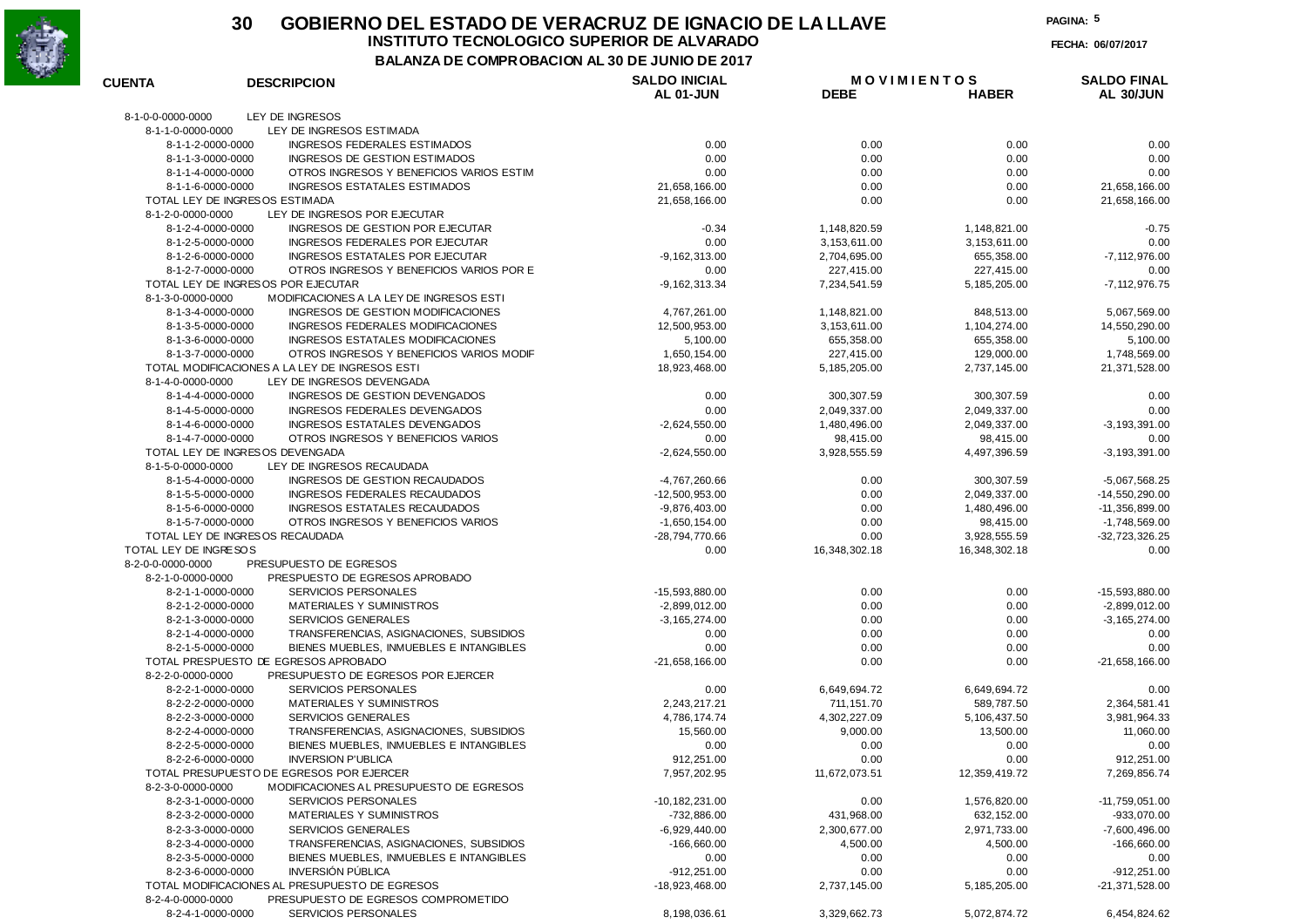

# **30 GOBIERNO DEL ESTADO DE VERACRUZ DE IGNACIO DE LA LLAVE**

**INSTITUTO TECNOLOGICO SUPERIOR DE ALVARADO**

**FECHA: 06/07/2017**

**BALANZA DE COMPROBACION AL 30 DE JUNIO DE 2017**

| <b>CUENTA</b>                                        | <b>DESCRIPCION</b>                                                   | <b>SALDO INICIAL</b>              | <b>MOVIMIENTOS</b> |                | <b>SALDO FINAL</b> |
|------------------------------------------------------|----------------------------------------------------------------------|-----------------------------------|--------------------|----------------|--------------------|
|                                                      |                                                                      | AL 01-JUN                         | <b>DEBE</b>        | <b>HABER</b>   | AL 30/JUN          |
| 8-1-0-0-0000-0000                                    | LEY DE INGRESOS                                                      |                                   |                    |                |                    |
| 8-1-1-0-0000-0000                                    | LEY DE INGRESOS ESTIMADA                                             |                                   |                    |                |                    |
| 8-1-1-2-0000-0000                                    | INGRESOS FEDERALES ESTIMADOS                                         | 0.00                              | 0.00               | 0.00           | 0.00               |
| 8-1-1-3-0000-0000                                    | INGRESOS DE GESTION ESTIMADOS                                        | 0.00                              | 0.00               | 0.00           | 0.00               |
| 8-1-1-4-0000-0000                                    | OTROS INGRESOS Y BENEFICIOS VARIOS ESTIM                             | 0.00                              | 0.00               | 0.00           | 0.00               |
| 8-1-1-6-0000-0000<br>TOTAL LEY DE INGRESOS ESTIMADA  | <b>INGRESOS ESTATALES ESTIMADOS</b>                                  | 21,658,166.00<br>21,658,166.00    | 0.00<br>0.00       | 0.00<br>0.00   | 21,658,166.00      |
| 8-1-2-0-0000-0000                                    | LEY DE INGRESOS POR EJECUTAR                                         |                                   |                    |                | 21,658,166.00      |
| 8-1-2-4-0000-0000                                    | INGRESOS DE GESTION POR EJECUTAR                                     | $-0.34$                           | 1,148,820.59       | 1,148,821.00   | $-0.75$            |
| 8-1-2-5-0000-0000                                    | INGRESOS FEDERALES POR EJECUTAR                                      | 0.00                              | 3, 153, 611.00     | 3,153,611.00   | 0.00               |
| 8-1-2-6-0000-0000                                    | INGRESOS ESTATALES POR EJECUTAR                                      | $-9, 162, 313.00$                 | 2,704,695.00       | 655,358.00     | $-7, 112, 976.00$  |
| 8-1-2-7-0000-0000                                    | OTROS INGRESOS Y BENEFICIOS VARIOS POR E                             | 0.00                              | 227,415.00         | 227,415.00     | 0.00               |
|                                                      | TOTAL LEY DE INGRESOS POR EJECUTAR                                   | $-9, 162, 313.34$                 | 7,234,541.59       | 5,185,205.00   | $-7, 112, 976.75$  |
| 8-1-3-0-0000-0000                                    | MODIFICACIONES A LA LEY DE INGRESOS ESTI                             |                                   |                    |                |                    |
| 8-1-3-4-0000-0000                                    | INGRESOS DE GESTION MODIFICACIONES                                   | 4,767,261.00                      | 1,148,821.00       | 848,513.00     | 5,067,569.00       |
| 8-1-3-5-0000-0000                                    | INGRESOS FEDERALES MODIFICACIONES                                    | 12,500,953.00                     | 3, 153, 611.00     | 1,104,274.00   | 14,550,290.00      |
| 8-1-3-6-0000-0000                                    | INGRESOS ESTATALES MODIFICACIONES                                    | 5,100.00                          | 655,358.00         | 655,358.00     | 5,100.00           |
| 8-1-3-7-0000-0000                                    | OTROS INGRESOS Y BENEFICIOS VARIOS MODIF                             | 1,650,154.00                      | 227,415.00         | 129,000.00     | 1,748,569.00       |
|                                                      | TOTAL MODIFICACIONES A LA LEY DE INGRESOS ESTI                       | 18,923,468.00                     | 5, 185, 205.00     | 2,737,145.00   | 21,371,528.00      |
| 8-1-4-0-0000-0000                                    | LEY DE INGRESOS DEVENGADA                                            |                                   |                    |                |                    |
| 8-1-4-4-0000-0000                                    | INGRESOS DE GESTION DEVENGADOS                                       | 0.00                              | 300, 307.59        | 300, 307.59    | 0.00               |
| 8-1-4-5-0000-0000                                    | INGRESOS FEDERALES DEVENGADOS                                        | 0.00                              | 2,049,337.00       | 2,049,337.00   | 0.00               |
| 8-1-4-6-0000-0000                                    | INGRESOS ESTATALES DEVENGADOS                                        | $-2,624,550.00$                   | 1,480,496.00       | 2,049,337.00   | $-3, 193, 391.00$  |
| 8-1-4-7-0000-0000                                    | OTROS INGRESOS Y BENEFICIOS VARIOS                                   | 0.00                              | 98,415.00          | 98,415.00      | 0.00               |
| TOTAL LEY DE INGRESOS DEVENGADA<br>8-1-5-0-0000-0000 | LEY DE INGRESOS RECAUDADA                                            | $-2,624,550.00$                   | 3,928,555.59       | 4,497,396.59   | $-3, 193, 391.00$  |
| 8-1-5-4-0000-0000                                    | INGRESOS DE GESTION RECAUDADOS                                       |                                   | 0.00               | 300,307.59     | $-5,067,568.25$    |
| 8-1-5-5-0000-0000                                    | INGRESOS FEDERALES RECAUDADOS                                        | -4,767,260.66<br>$-12,500,953.00$ | 0.00               | 2,049,337.00   | -14,550,290.00     |
| 8-1-5-6-0000-0000                                    | INGRESOS ESTATALES RECAUDADOS                                        | $-9,876,403.00$                   | 0.00               | 1,480,496.00   | $-11,356,899.00$   |
| 8-1-5-7-0000-0000                                    | OTROS INGRESOS Y BENEFICIOS VARIOS                                   | $-1,650,154.00$                   | 0.00               | 98,415.00      | $-1,748,569.00$    |
| TOTAL LEY DE INGRESOS RECAUDADA                      |                                                                      | -28,794,770.66                    | 0.00               | 3,928,555.59   | $-32,723,326.25$   |
| TOTAL LEY DE INGRESOS                                |                                                                      | 0.00                              | 16,348,302.18      | 16,348,302.18  | 0.00               |
| 8-2-0-0-0000-0000                                    | PRESUPUESTO DE EGRESOS                                               |                                   |                    |                |                    |
| 8-2-1-0-0000-0000                                    | PRESPUESTO DE EGRESOS APROBADO                                       |                                   |                    |                |                    |
| 8-2-1-1-0000-0000                                    | <b>SERVICIOS PERSONALES</b>                                          | -15,593,880.00                    | 0.00               | 0.00           | -15,593,880.00     |
| 8-2-1-2-0000-0000                                    | MATERIALES Y SUMINISTROS                                             | $-2,899,012.00$                   | 0.00               | 0.00           | $-2,899,012.00$    |
| 8-2-1-3-0000-0000                                    | <b>SERVICIOS GENERALES</b>                                           | $-3, 165, 274.00$                 | 0.00               | 0.00           | $-3,165,274.00$    |
| 8-2-1-4-0000-0000                                    | TRANSFERENCIAS, ASIGNACIONES, SUBSIDIOS                              | 0.00                              | 0.00               | 0.00           | 0.00               |
| 8-2-1-5-0000-0000                                    | BIENES MUEBLES, INMUEBLES E INTANGIBLES                              | 0.00                              | 0.00               | 0.00           | 0.00               |
|                                                      | TOTAL PRESPUESTO DE EGRESOS APROBADO                                 | $-21,658,166.00$                  | 0.00               | 0.00           | $-21,658,166.00$   |
| 8-2-2-0-0000-0000                                    | PRESUPUESTO DE EGRESOS POR EJERCER                                   |                                   |                    |                |                    |
| 8-2-2-1-0000-0000                                    | <b>SERVICIOS PERSONALES</b>                                          | 0.00                              | 6,649,694.72       | 6,649,694.72   | 0.00               |
| 8-2-2-2-0000-0000                                    | <b>MATERIALES Y SUMINISTROS</b>                                      | 2,243,217.21                      | 711, 151.70        | 589,787.50     | 2,364,581.41       |
| 8-2-2-3-0000-0000                                    | <b>SERVICIOS GENERALES</b>                                           | 4,786,174.74                      | 4,302,227.09       | 5,106,437.50   | 3,981,964.33       |
| 8-2-2-4-0000-0000                                    | TRANSFERENCIAS, ASIGNACIONES, SUBSIDIOS                              | 15,560.00                         | 9,000.00           | 13,500.00      | 11,060.00          |
| 8-2-2-5-0000-0000<br>8-2-2-6-0000-0000               | BIENES MUEBLES, INMUEBLES E INTANGIBLES<br><b>INVERSION P'UBLICA</b> | 0.00                              | 0.00<br>0.00       | 0.00<br>0.00   | 0.00<br>912,251.00 |
|                                                      | TOTAL PRESUPUESTO DE EGRESOS POR EJERCER                             | 912,251.00<br>7,957,202.95        | 11,672,073.51      | 12,359,419.72  | 7,269,856.74       |
| 8-2-3-0-0000-0000                                    | MODIFICACIONES AL PRESUPUESTO DE EGRESOS                             |                                   |                    |                |                    |
| 8-2-3-1-0000-0000                                    | <b>SERVICIOS PERSONALES</b>                                          | $-10, 182, 231.00$                | 0.00               | 1,576,820.00   | $-11,759,051.00$   |
| 8-2-3-2-0000-0000                                    | MATERIALES Y SUMINISTROS                                             | $-732,886.00$                     | 431,968.00         | 632,152.00     | -933,070.00        |
| 8-2-3-3-0000-0000                                    | <b>SERVICIOS GENERALES</b>                                           | $-6,929,440.00$                   | 2,300,677.00       | 2,971,733.00   | $-7,600,496.00$    |
| 8-2-3-4-0000-0000                                    | TRANSFERENCIAS, ASIGNACIONES, SUBSIDIOS                              | $-166,660.00$                     | 4,500.00           | 4,500.00       | $-166,660.00$      |
| 8-2-3-5-0000-0000                                    | BIENES MUEBLES, INMUEBLES E INTANGIBLES                              | 0.00                              | 0.00               | 0.00           | 0.00               |
| 8-2-3-6-0000-0000                                    | <b>INVERSIÓN PÚBLICA</b>                                             | $-912,251.00$                     | 0.00               | 0.00           | $-912,251.00$      |
|                                                      | TOTAL MODIFICACIONES AL PRESUPUESTO DE EGRESOS                       | $-18,923,468.00$                  | 2,737,145.00       | 5, 185, 205.00 | -21,371,528.00     |
| 8-2-4-0-0000-0000                                    | PRESUPUESTO DE EGRESOS COMPROMETIDO                                  |                                   |                    |                |                    |
| 8-2-4-1-0000-0000                                    | SERVICIOS PERSONALES                                                 | 8,198,036.61                      | 3,329,662.73       | 5,072,874.72   | 6,454,824.62       |